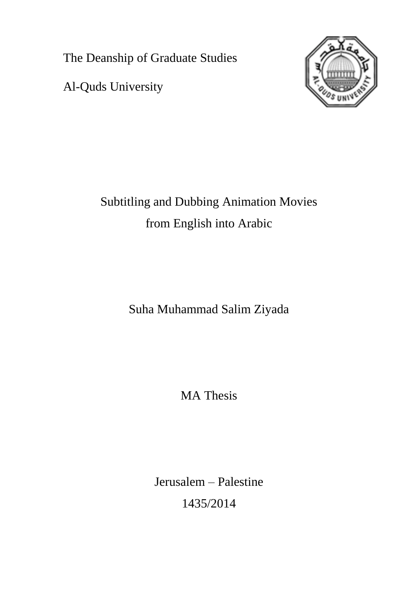The Deanship of Graduate Studies

Al-Quds University



Subtitling and Dubbing Animation Movies from English into Arabic

Suha Muhammad Salim Ziyada

MA Thesis

Jerusalem – Palestine 1435/2014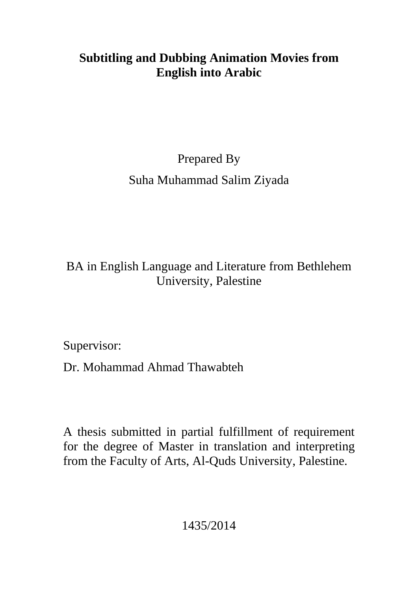## **Subtitling and Dubbing Animation Movies from English into Arabic**

# Prepared By Suha Muhammad Salim Ziyada

## BA in English Language and Literature from Bethlehem University, Palestine

Supervisor:

Dr. Mohammad Ahmad Thawabteh

A thesis submitted in partial fulfillment of requirement for the degree of Master in translation and interpreting from the Faculty of Arts, Al-Quds University, Palestine.

1435/2014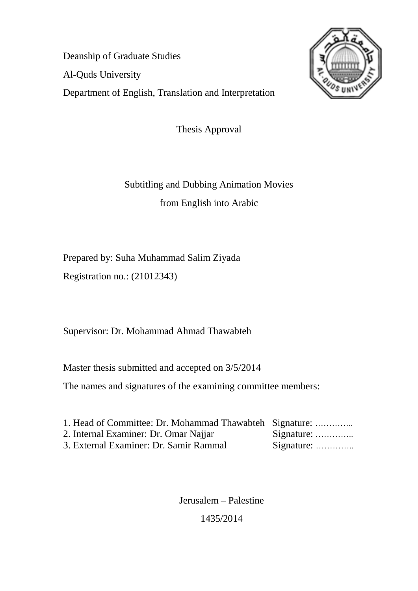Deanship of Graduate Studies Al-Quds University Department of English, Translation and Interpretation



Thesis Approval

Subtitling and Dubbing Animation Movies from English into Arabic

Prepared by: Suha Muhammad Salim Ziyada

Registration no.: (21012343)

Supervisor: Dr. Mohammad Ahmad Thawabteh

Master thesis submitted and accepted on 3/5/2014

The names and signatures of the examining committee members:

| 1. Head of Committee: Dr. Mohammad Thawabteh Signature: |                    |
|---------------------------------------------------------|--------------------|
| 2. Internal Examiner: Dr. Omar Najjar                   | Signature: $\dots$ |
| 3. External Examiner: Dr. Samir Rammal                  | Signature:         |

Jerusalem – Palestine

1435/2014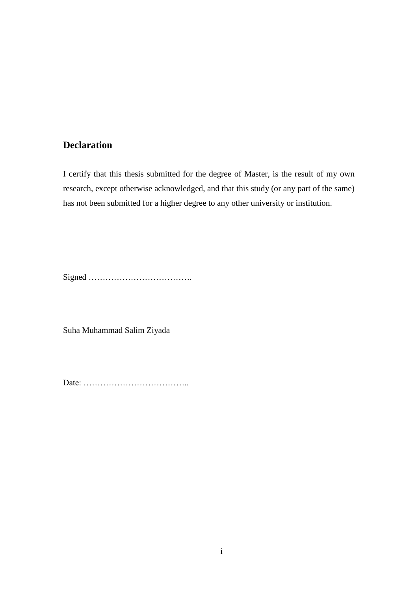## **Declaration**

I certify that this thesis submitted for the degree of Master, is the result of my own research, except otherwise acknowledged, and that this study (or any part of the same) has not been submitted for a higher degree to any other university or institution.

Signed ……………………………….

Suha Muhammad Salim Ziyada

Date: ………………………………..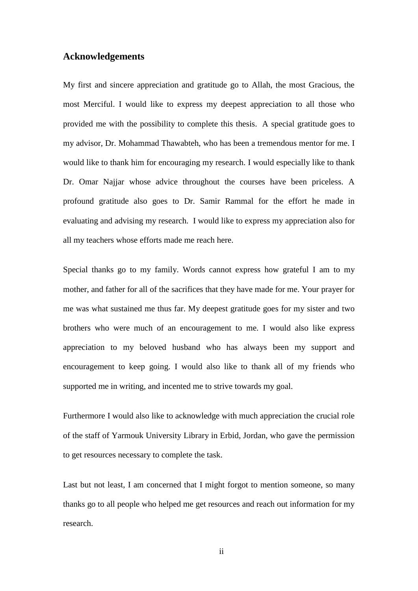#### **Acknowledgements**

My first and sincere appreciation and gratitude go to Allah, the most Gracious, the most Merciful. I would like to express my deepest appreciation to all those who provided me with the possibility to complete this thesis. A special gratitude goes to my advisor, Dr. Mohammad Thawabteh, who has been a tremendous mentor for me. I would like to thank him for encouraging my research. I would especially like to thank Dr. Omar Najjar whose advice throughout the courses have been priceless. A profound gratitude also goes to Dr. Samir Rammal for the effort he made in evaluating and advising my research. I would like to express my appreciation also for all my teachers whose efforts made me reach here.

Special thanks go to my family. Words cannot express how grateful I am to my mother, and father for all of the sacrifices that they have made for me. Your prayer for me was what sustained me thus far. My deepest gratitude goes for my sister and two brothers who were much of an encouragement to me. I would also like express appreciation to my beloved husband who has always been my support and encouragement to keep going. I would also like to thank all of my friends who supported me in writing, and incented me to strive towards my goal.

Furthermore I would also like to acknowledge with much appreciation the crucial role of the staff of Yarmouk University Library in Erbid, Jordan, who gave the permission to get resources necessary to complete the task.

Last but not least, I am concerned that I might forgot to mention someone, so many thanks go to all people who helped me get resources and reach out information for my research.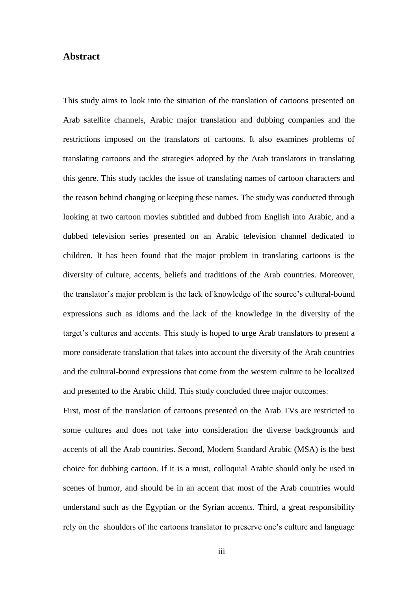#### **Abstract**

This study aims to look into the situation of the translation of cartoons presented on Arab satellite channels, Arabic major translation and dubbing companies and the restrictions imposed on the translators of cartoons. It also examines problems of translating cartoons and the strategies adopted by the Arab translators in translating this genre. This study tackles the issue of translating names of cartoon characters and the reason behind changing or keeping these names. The study was conducted through looking at two cartoon movies subtitled and dubbed from English into Arabic, and a dubbed television series presented on an Arabic television channel dedicated to children. It has been found that the major problem in translating cartoons is the diversity of culture, accents, beliefs and traditions of the Arab countries. Moreover, the translator's major problem is the lack of knowledge of the source's cultural-bound expressions such as idioms and the lack of the knowledge in the diversity of the target"s cultures and accents. This study is hoped to urge Arab translators to present a more considerate translation that takes into account the diversity of the Arab countries and the cultural-bound expressions that come from the western culture to be localized and presented to the Arabic child. This study concluded three major outcomes:

First, most of the translation of cartoons presented on the Arab TVs are restricted to some cultures and does not take into consideration the diverse backgrounds and accents of all the Arab countries. Second, Modern Standard Arabic (MSA) is the best choice for dubbing cartoon. If it is a must, colloquial Arabic should only be used in scenes of humor, and should be in an accent that most of the Arab countries would understand such as the Egyptian or the Syrian accents. Third, a great responsibility rely on the shoulders of the cartoons translator to preserve one"s culture and language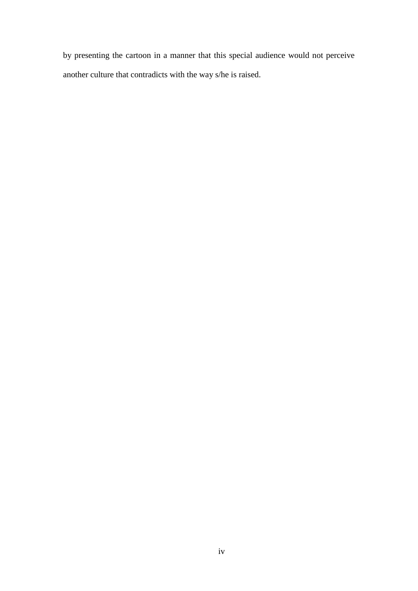by presenting the cartoon in a manner that this special audience would not perceive another culture that contradicts with the way s/he is raised.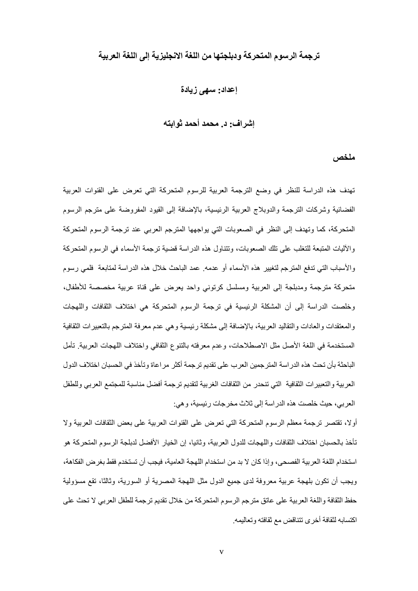### **ترجمة الرسىم المتحركة ودبلجتها من اللغة االنجليسية إلى اللغة العربية**

#### **إعذاد: سهى زيادة**

#### **إشراف: د. محمذ أحمذ ثىابته**

#### **ملخص**

تهدف هذه الدراسة للنظر في وضع الترجمة العربية للرسوم المتحركة التي تعرض على القنوات العربية الْفضائية وشركات الترجمة والدوبلاج العربية الرئيسية، بالإضافة إلى القيود المفروضة على مترجم الرسوم المتحركة، كما وتهدف إلى النظر في الصعوبات التي يو اجهها المترجِم العربي عند ترجمة الرسوم المتحركة والأليات المتبعة للتغلب على تلك الصعوبات، وتتناول هذه الدراسة قضية ترجمة الأسماء في الرسوم المتحركة والأسباب التي تدفع المتز جم لتغيير هذه الأسماء أو عدمه. عمد الباحث خلال هذه الدر اسة لمتابعة فلمي ر سو م مُنحرِكة مُترجِمة ومدبلجة إلى العربية ومسلسل كرنوني واحد بعرض على قناة عربية مخصصة للأطفال، وخلصت الدراسة إلى أن المشكلة الرئيسية في ترجمة الرسوم المتحركة هي اختلاف الثقافات واللهجات والمعتقدات والعادات والنقاليد العربية، بالإضافة إلى مشكلة رئيسية وهي عدم معرفة المترجم بالتعبير ات الثقافية المستخدِمة في اللغة الأصل مثل الاصطلاحات، وعدم معرفته بالنّنوع الثقافي واختلاف اللهجات العربية ِ تأمل الباحثة بأن تحث هذه الدراسة المترجمين العرب على تقديم ترجمة أكثر مراعاة وتأخذ في الحسبان اختلاف الدول العربية والتعبيرات الثقافية التي تنحدر من الثقافات الغربية لتقديم ترجمة أفضل مناسبة للمجتمع العربي وللطفل العربي، حيث خلصت هذه الدر اسة إلى ثلاث مخرجات رئيسية، و هي:

أوِلا، تقتصر ترجمة معظم الرسوم المتحركة التي تعرض على القنوات العربية على بعض الثقافات العربية وِلا تأخذ بالحسبان اختلاف الثقافات واللهجات للدول العربية، وثانيا، إن الخيار الأفضل لدبلجة الرسوم المتحركة هو استخدام اللغة العربية الفصحي، وإذا كان لا بد من استخدام اللهجة العامية، فيجب أن تستخدم فقط بغرِ ض الفكاهة، ويجب أن تكون بلهجة عربية معروفة لدى جميع الدول مثل اللهجة المصرية أو السورية، وثالثًا، تقع مسؤولية حفظ الثقافة واللغة العربية على عاتق مترجم الرسوم المتحركة من خلال تقديم ترجمة للطفل العربي لا تحث على اكتسابه لثقافة أخرى تتناقض مع ثقافته و تعاليمه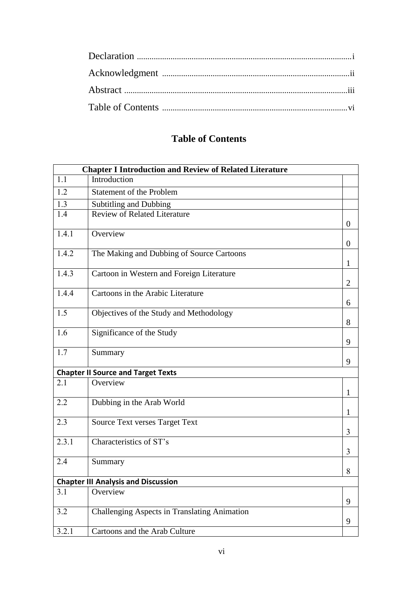## **Table of Contents**

|       | <b>Chapter I Introduction and Review of Related Literature</b> |                  |
|-------|----------------------------------------------------------------|------------------|
| 1.1   | Introduction                                                   |                  |
| 1.2   | <b>Statement of the Problem</b>                                |                  |
| 1.3   | Subtitling and Dubbing                                         |                  |
| 1.4   | <b>Review of Related Literature</b>                            | $\boldsymbol{0}$ |
| 1.4.1 | Overview                                                       | $\overline{0}$   |
| 1.4.2 | The Making and Dubbing of Source Cartoons                      | 1                |
| 1.4.3 | Cartoon in Western and Foreign Literature                      | $\overline{2}$   |
| 1.4.4 | Cartoons in the Arabic Literature                              | 6                |
| 1.5   | Objectives of the Study and Methodology                        | 8                |
| 1.6   | Significance of the Study                                      | 9                |
| 1.7   | Summary                                                        | 9                |
|       | <b>Chapter II Source and Target Texts</b>                      |                  |
| 2.1   | Overview                                                       | $\mathbf{1}$     |
| 2.2   | Dubbing in the Arab World                                      | 1                |
| 2.3   | <b>Source Text verses Target Text</b>                          | 3                |
| 2.3.1 | Characteristics of ST's                                        | 3                |
| 2.4   | Summary                                                        | 8                |
|       | <b>Chapter III Analysis and Discussion</b>                     |                  |
| 3.1   | Overview                                                       | 9                |
| 3.2   | Challenging Aspects in Translating Animation                   | 9                |
| 3.2.1 | Cartoons and the Arab Culture                                  |                  |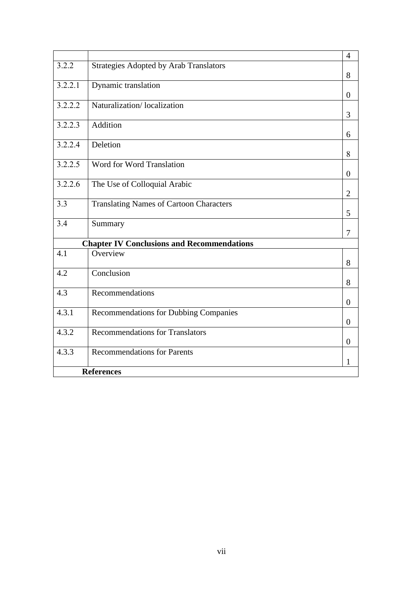|                      |                                                   | $\overline{4}$   |
|----------------------|---------------------------------------------------|------------------|
| 3.2.2                | <b>Strategies Adopted by Arab Translators</b>     |                  |
|                      |                                                   | 8                |
| 3.2.2.1              | Dynamic translation                               |                  |
|                      |                                                   | $\boldsymbol{0}$ |
| $\overline{3.2.2.2}$ | Naturalization/localization                       |                  |
|                      |                                                   | 3                |
| 3.2.2.3              | Addition                                          |                  |
|                      |                                                   | 6                |
| 3.2.2.4              | Deletion                                          |                  |
|                      |                                                   | 8                |
| 3.2.2.5              | <b>Word for Word Translation</b>                  |                  |
|                      |                                                   | $\overline{0}$   |
| $\overline{3.2.2.6}$ | The Use of Colloquial Arabic                      |                  |
|                      |                                                   | $\overline{2}$   |
| 3.3                  | <b>Translating Names of Cartoon Characters</b>    |                  |
|                      |                                                   | 5                |
| 3.4                  | Summary                                           |                  |
|                      |                                                   | 7                |
|                      | <b>Chapter IV Conclusions and Recommendations</b> |                  |
| 4.1                  | Overview                                          |                  |
|                      |                                                   | 8                |
| 4.2                  | Conclusion                                        |                  |
|                      |                                                   | 8                |
| 4.3                  | Recommendations                                   |                  |
|                      |                                                   | $\overline{0}$   |
| 4.3.1                | <b>Recommendations for Dubbing Companies</b>      |                  |
|                      |                                                   | $\boldsymbol{0}$ |
| 4.3.2                | <b>Recommendations for Translators</b>            |                  |
|                      |                                                   | $\boldsymbol{0}$ |
| 4.3.3                | <b>Recommendations for Parents</b>                |                  |
|                      |                                                   | 1                |
|                      | <b>References</b>                                 |                  |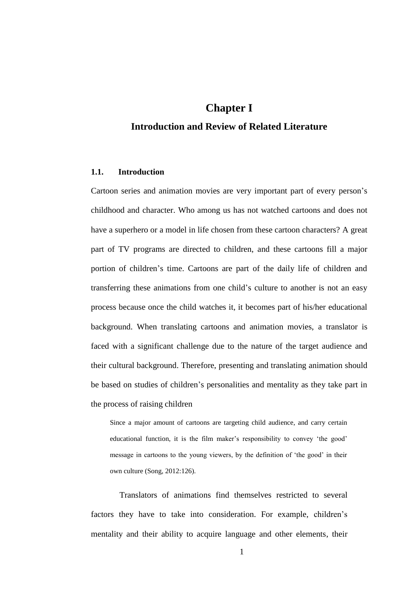## **Chapter I**

## **Introduction and Review of Related Literature**

#### **1.1. Introduction**

Cartoon series and animation movies are very important part of every person"s childhood and character. Who among us has not watched cartoons and does not have a superhero or a model in life chosen from these cartoon characters? A great part of TV programs are directed to children, and these cartoons fill a major portion of children"s time. Cartoons are part of the daily life of children and transferring these animations from one child"s culture to another is not an easy process because once the child watches it, it becomes part of his/her educational background. When translating cartoons and animation movies, a translator is faced with a significant challenge due to the nature of the target audience and their cultural background. Therefore, presenting and translating animation should be based on studies of children"s personalities and mentality as they take part in the process of raising children

Since a major amount of cartoons are targeting child audience, and carry certain educational function, it is the film maker's responsibility to convey 'the good' message in cartoons to the young viewers, by the definition of "the good" in their own culture (Song, 2012:126).

Translators of animations find themselves restricted to several factors they have to take into consideration. For example, children's mentality and their ability to acquire language and other elements, their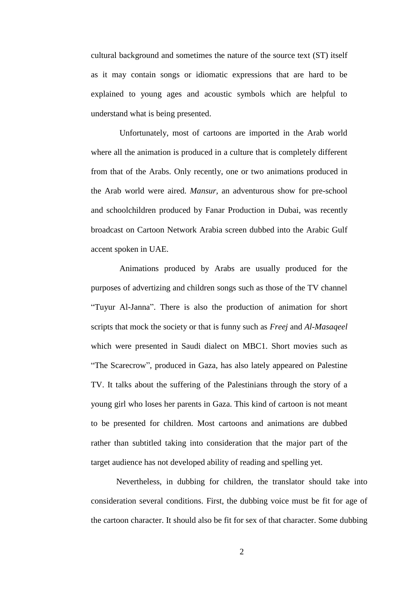cultural background and sometimes the nature of the source text (ST) itself as it may contain songs or idiomatic expressions that are hard to be explained to young ages and acoustic symbols which are helpful to understand what is being presented.

Unfortunately, most of cartoons are imported in the Arab world where all the animation is produced in a culture that is completely different from that of the Arabs. Only recently, one or two animations produced in the Arab world were aired. *Mansur,* an adventurous show for pre-school and schoolchildren produced by Fanar Production in Dubai, was recently broadcast on Cartoon Network Arabia screen dubbed into the Arabic Gulf accent spoken in UAE.

Animations produced by Arabs are usually produced for the purposes of advertizing and children songs such as those of the TV channel "Tuyur Al-Janna". There is also the production of animation for short scripts that mock the society or that is funny such as *Freej* and *Al-Masaqeel* which were presented in Saudi dialect on MBC1. Short movies such as "The Scarecrow", produced in Gaza, has also lately appeared on Palestine TV. It talks about the suffering of the Palestinians through the story of a young girl who loses her parents in Gaza. This kind of cartoon is not meant to be presented for children. Most cartoons and animations are dubbed rather than subtitled taking into consideration that the major part of the target audience has not developed ability of reading and spelling yet.

Nevertheless, in dubbing for children, the translator should take into consideration several conditions. First, the dubbing voice must be fit for age of the cartoon character. It should also be fit for sex of that character. Some dubbing

2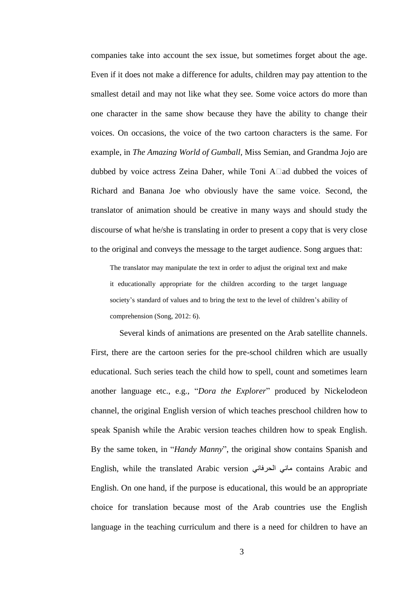companies take into account the sex issue, but sometimes forget about the age. Even if it does not make a difference for adults, children may pay attention to the smallest detail and may not like what they see. Some voice actors do more than one character in the same show because they have the ability to change their voices. On occasions, the voice of the two cartoon characters is the same. For example, in *The Amazing World of Gumball,* Miss Semian, and Grandma Jojo are dubbed by voice actress Zeina Daher, while Toni  $A\Box$ ad dubbed the voices of Richard and Banana Joe who obviously have the same voice. Second, the translator of animation should be creative in many ways and should study the discourse of what he/she is translating in order to present a copy that is very close to the original and conveys the message to the target audience. Song argues that:

The translator may manipulate the text in order to adjust the original text and make it educationally appropriate for the children according to the target language society's standard of values and to bring the text to the level of children's ability of comprehension (Song, 2012: 6).

Several kinds of animations are presented on the Arab satellite channels. First, there are the cartoon series for the pre-school children which are usually educational. Such series teach the child how to spell, count and sometimes learn another language etc., e.g., "*Dora the Explorer*" produced by Nickelodeon channel, the original English version of which teaches preschool children how to speak Spanish while the Arabic version teaches children how to speak English. By the same token, in "*Handy Manny*", the original show contains Spanish and English, while the translated Arabic version مانى الحرفاني contains Arabic and English. On one hand, if the purpose is educational, this would be an appropriate choice for translation because most of the Arab countries use the English language in the teaching curriculum and there is a need for children to have an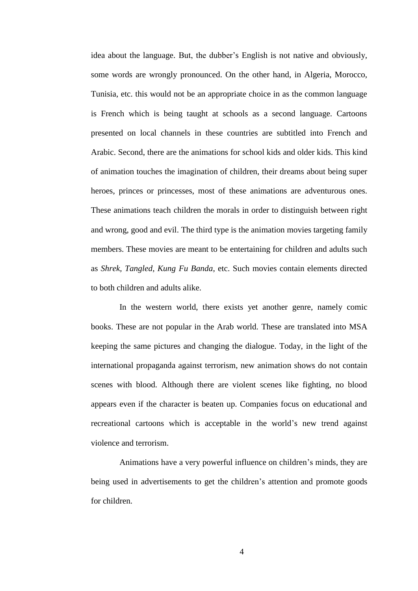idea about the language. But, the dubber"s English is not native and obviously, some words are wrongly pronounced. On the other hand, in Algeria, Morocco, Tunisia, etc. this would not be an appropriate choice in as the common language is French which is being taught at schools as a second language. Cartoons presented on local channels in these countries are subtitled into French and Arabic. Second, there are the animations for school kids and older kids. This kind of animation touches the imagination of children, their dreams about being super heroes, princes or princesses, most of these animations are adventurous ones. These animations teach children the morals in order to distinguish between right and wrong, good and evil. The third type is the animation movies targeting family members. These movies are meant to be entertaining for children and adults such as *Shrek, Tangled*, *Kung Fu Banda*, etc. Such movies contain elements directed to both children and adults alike.

In the western world, there exists yet another genre, namely comic books. These are not popular in the Arab world. These are translated into MSA keeping the same pictures and changing the dialogue. Today, in the light of the international propaganda against terrorism, new animation shows do not contain scenes with blood. Although there are violent scenes like fighting, no blood appears even if the character is beaten up. Companies focus on educational and recreational cartoons which is acceptable in the world"s new trend against violence and terrorism.

Animations have a very powerful influence on children"s minds, they are being used in advertisements to get the children's attention and promote goods for children.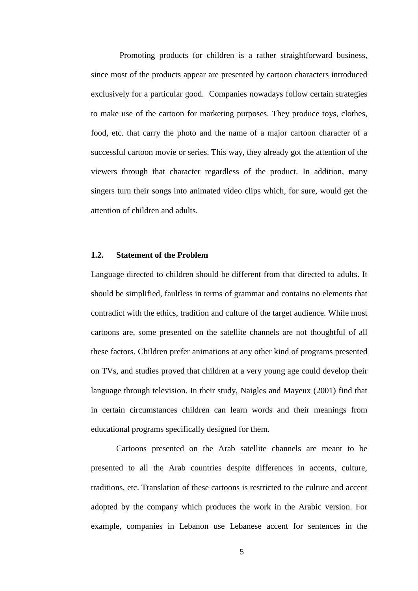Promoting products for children is a rather straightforward business, since most of the products appear are presented by cartoon characters introduced exclusively for a particular good. Companies nowadays follow certain strategies to make use of the cartoon for marketing purposes. They produce toys, clothes, food, etc. that carry the photo and the name of a major cartoon character of a successful cartoon movie or series. This way, they already got the attention of the viewers through that character regardless of the product. In addition, many singers turn their songs into animated video clips which, for sure, would get the attention of children and adults.

#### **1.2. Statement of the Problem**

Language directed to children should be different from that directed to adults. It should be simplified, faultless in terms of grammar and contains no elements that contradict with the ethics, tradition and culture of the target audience. While most cartoons are, some presented on the satellite channels are not thoughtful of all these factors. Children prefer animations at any other kind of programs presented on TVs, and studies proved that children at a very young age could develop their language through television. In their study, Naigles and Mayeux (2001) find that in certain circumstances children can learn words and their meanings from educational programs specifically designed for them.

Cartoons presented on the Arab satellite channels are meant to be presented to all the Arab countries despite differences in accents, culture, traditions, etc. Translation of these cartoons is restricted to the culture and accent adopted by the company which produces the work in the Arabic version. For example, companies in Lebanon use Lebanese accent for sentences in the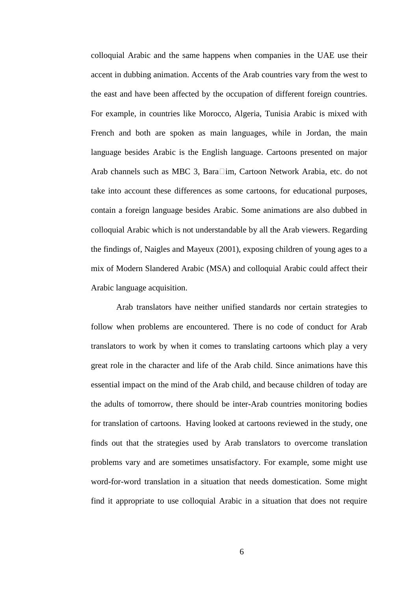colloquial Arabic and the same happens when companies in the UAE use their accent in dubbing animation. Accents of the Arab countries vary from the west to the east and have been affected by the occupation of different foreign countries. For example, in countries like Morocco, Algeria, Tunisia Arabic is mixed with French and both are spoken as main languages, while in Jordan, the main language besides Arabic is the English language. Cartoons presented on major Arab channels such as MBC 3, Bara $\Box$ im, Cartoon Network Arabia, etc. do not take into account these differences as some cartoons, for educational purposes, contain a foreign language besides Arabic. Some animations are also dubbed in colloquial Arabic which is not understandable by all the Arab viewers. Regarding the findings of, Naigles and Mayeux (2001), exposing children of young ages to a mix of Modern Slandered Arabic (MSA) and colloquial Arabic could affect their Arabic language acquisition.

Arab translators have neither unified standards nor certain strategies to follow when problems are encountered. There is no code of conduct for Arab translators to work by when it comes to translating cartoons which play a very great role in the character and life of the Arab child. Since animations have this essential impact on the mind of the Arab child, and because children of today are the adults of tomorrow, there should be inter-Arab countries monitoring bodies for translation of cartoons. Having looked at cartoons reviewed in the study, one finds out that the strategies used by Arab translators to overcome translation problems vary and are sometimes unsatisfactory. For example, some might use word-for-word translation in a situation that needs domestication. Some might find it appropriate to use colloquial Arabic in a situation that does not require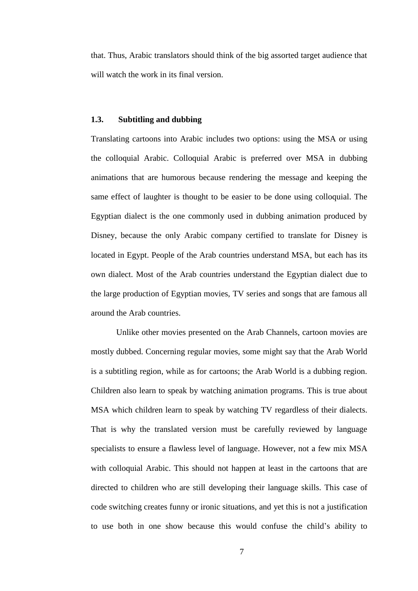that. Thus, Arabic translators should think of the big assorted target audience that will watch the work in its final version.

#### **1.3. Subtitling and dubbing**

Translating cartoons into Arabic includes two options: using the MSA or using the colloquial Arabic. Colloquial Arabic is preferred over MSA in dubbing animations that are humorous because rendering the message and keeping the same effect of laughter is thought to be easier to be done using colloquial. The Egyptian dialect is the one commonly used in dubbing animation produced by Disney, because the only Arabic company certified to translate for Disney is located in Egypt. People of the Arab countries understand MSA, but each has its own dialect. Most of the Arab countries understand the Egyptian dialect due to the large production of Egyptian movies, TV series and songs that are famous all around the Arab countries.

Unlike other movies presented on the Arab Channels, cartoon movies are mostly dubbed. Concerning regular movies, some might say that the Arab World is a subtitling region, while as for cartoons; the Arab World is a dubbing region. Children also learn to speak by watching animation programs. This is true about MSA which children learn to speak by watching TV regardless of their dialects. That is why the translated version must be carefully reviewed by language specialists to ensure a flawless level of language. However, not a few mix MSA with colloquial Arabic. This should not happen at least in the cartoons that are directed to children who are still developing their language skills. This case of code switching creates funny or ironic situations, and yet this is not a justification to use both in one show because this would confuse the child"s ability to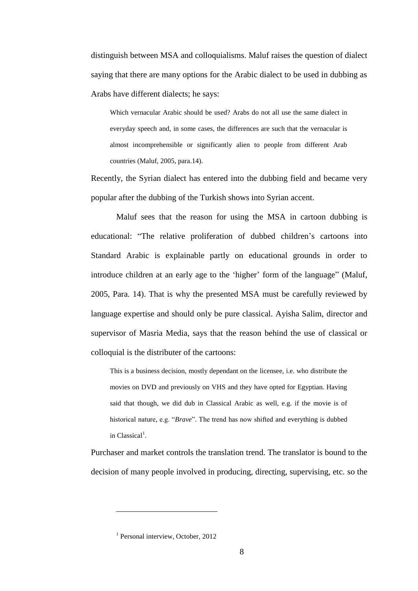distinguish between MSA and colloquialisms. Maluf raises the question of dialect saying that there are many options for the Arabic dialect to be used in dubbing as Arabs have different dialects; he says:

Which vernacular Arabic should be used? Arabs do not all use the same dialect in everyday speech and, in some cases, the differences are such that the vernacular is almost incomprehensible or significantly alien to people from different Arab countries (Maluf, 2005, para.14).

Recently, the Syrian dialect has entered into the dubbing field and became very popular after the dubbing of the Turkish shows into Syrian accent.

Maluf sees that the reason for using the MSA in cartoon dubbing is educational: "The relative proliferation of dubbed children"s cartoons into Standard Arabic is explainable partly on educational grounds in order to introduce children at an early age to the 'higher' form of the language" (Maluf, 2005, Para. 14). That is why the presented MSA must be carefully reviewed by language expertise and should only be pure classical. Ayisha Salim, director and supervisor of Masria Media, says that the reason behind the use of classical or colloquial is the distributer of the cartoons:

This is a business decision, mostly dependant on the licensee, i.e. who distribute the movies on DVD and previously on VHS and they have opted for Egyptian. Having said that though, we did dub in Classical Arabic as well, e.g. if the movie is of historical nature, e.g. "*Brave*". The trend has now shifted and everything is dubbed in Classical<sup>1</sup>.

Purchaser and market controls the translation trend. The translator is bound to the decision of many people involved in producing, directing, supervising, etc. so the

 $\overline{a}$ 

<sup>&</sup>lt;sup>1</sup> Personal interview, October, 2012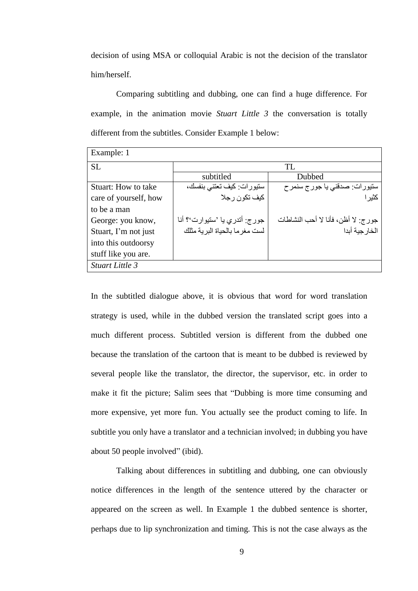decision of using MSA or colloquial Arabic is not the decision of the translator him/herself.

Comparing subtitling and dubbing, one can find a huge difference. For example, in the animation movie *Stuart Little 3* the conversation is totally different from the subtitles. Consider Example 1 below:

| Example: 1            |                                 |                                    |  |
|-----------------------|---------------------------------|------------------------------------|--|
| SL.                   | TL                              |                                    |  |
|                       | subtitled                       | Dubbed                             |  |
| Stuart: How to take   | ستیورات: کیف تعتنی بنفسك،       | ستيورات: صدقني يا جور ج سنمر ح     |  |
| care of yourself, how | کيف تکون ر جلا                  | کثیر ا                             |  |
| to be a man           |                                 |                                    |  |
| George: you know,     | جورج: أتدري يا 'ستيوارت'؟ أنا   | جورج: لا أظن، فأنا لا أحب النشاطات |  |
| Stuart, I'm not just  | لست مغر ما بالحياة البر ية مثلك | الخار جبة أبدا                     |  |
| into this outdoorsy   |                                 |                                    |  |
| stuff like you are.   |                                 |                                    |  |
| Stuart Little 3       |                                 |                                    |  |

In the subtitled dialogue above, it is obvious that word for word translation strategy is used, while in the dubbed version the translated script goes into a much different process. Subtitled version is different from the dubbed one because the translation of the cartoon that is meant to be dubbed is reviewed by several people like the translator, the director, the supervisor, etc. in order to make it fit the picture; Salim sees that "Dubbing is more time consuming and more expensive, yet more fun. You actually see the product coming to life. In subtitle you only have a translator and a technician involved; in dubbing you have about 50 people involved" (ibid).

Talking about differences in subtitling and dubbing, one can obviously notice differences in the length of the sentence uttered by the character or appeared on the screen as well. In Example 1 the dubbed sentence is shorter, perhaps due to lip synchronization and timing. This is not the case always as the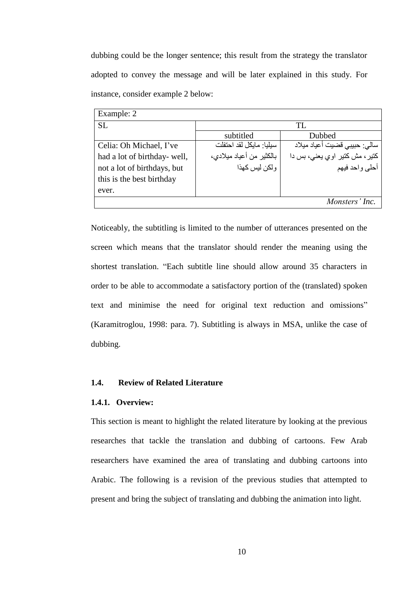dubbing could be the longer sentence; this result from the strategy the translator adopted to convey the message and will be later explained in this study. For instance, consider example 2 below:

| Example: 2                   |                          |                               |  |
|------------------------------|--------------------------|-------------------------------|--|
| <b>SL</b>                    | TL.                      |                               |  |
|                              | subtitled                | Dubbed                        |  |
| Celia: Oh Michael, I've      | سبلبا: مابكل لقد احتفلت  | سالي: حبيبي قضيت أعياد ميلاد  |  |
| had a lot of birthday- well, | بالكثير من أعياد ميلادي، | كتير، مش كتير اوي يعني، بس دا |  |
| not a lot of birthdays, but  | و لکن ليس کهذا           | أحلى واحد فيهم                |  |
| this is the best birthday    |                          |                               |  |
| ever.                        |                          |                               |  |
|                              |                          | Monsters' Inc.                |  |

Noticeably, the subtitling is limited to the number of utterances presented on the screen which means that the translator should render the meaning using the shortest translation. "Each subtitle line should allow around 35 characters in order to be able to accommodate a satisfactory portion of the (translated) spoken text and minimise the need for original text reduction and omissions" (Karamitroglou, 1998: para. 7). Subtitling is always in MSA, unlike the case of dubbing.

#### **1.4. Review of Related Literature**

#### **1.4.1. Overview:**

This section is meant to highlight the related literature by looking at the previous researches that tackle the translation and dubbing of cartoons. Few Arab researchers have examined the area of translating and dubbing cartoons into Arabic. The following is a revision of the previous studies that attempted to present and bring the subject of translating and dubbing the animation into light.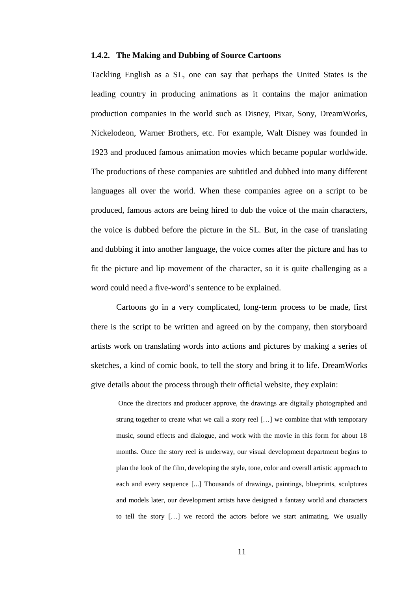#### **1.4.2. The Making and Dubbing of Source Cartoons**

Tackling English as a SL, one can say that perhaps the United States is the leading country in producing animations as it contains the major animation production companies in the world such as Disney, Pixar, Sony, DreamWorks, Nickelodeon, Warner Brothers, etc. For example, Walt Disney was founded in 1923 and produced famous animation movies which became popular worldwide. The productions of these companies are subtitled and dubbed into many different languages all over the world. When these companies agree on a script to be produced, famous actors are being hired to dub the voice of the main characters, the voice is dubbed before the picture in the SL. But, in the case of translating and dubbing it into another language, the voice comes after the picture and has to fit the picture and lip movement of the character, so it is quite challenging as a word could need a five-word"s sentence to be explained.

Cartoons go in a very complicated, long-term process to be made, first there is the script to be written and agreed on by the company, then storyboard artists work on translating words into actions and pictures by making a series of sketches, a kind of comic book, to tell the story and bring it to life. DreamWorks give details about the process through their official website, they explain:

Once the directors and producer approve, the drawings are digitally photographed and strung together to create what we call a story reel […] we combine that with temporary music, sound effects and dialogue, and work with the movie in this form for about 18 months. Once the story reel is underway, our visual development department begins to plan the look of the film, developing the style, tone, color and overall artistic approach to each and every sequence [...] Thousands of drawings, paintings, blueprints, sculptures and models later, our development artists have designed a fantasy world and characters to tell the story […] we record the actors before we start animating. We usually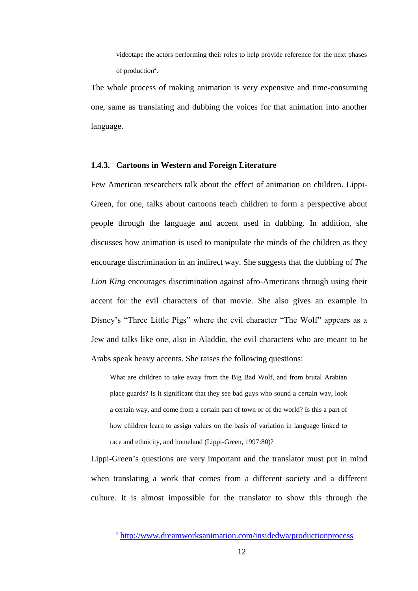videotape the actors performing their roles to help provide reference for the next phases of production<sup>2</sup>.

The whole process of making animation is very expensive and time-consuming one, same as translating and dubbing the voices for that animation into another language.

#### **1.4.3. Cartoons in Western and Foreign Literature**

Few American researchers talk about the effect of animation on children. Lippi-Green, for one, talks about cartoons teach children to form a perspective about people through the language and accent used in dubbing. In addition, she discusses how animation is used to manipulate the minds of the children as they encourage discrimination in an indirect way. She suggests that the dubbing of *The Lion King* encourages discrimination against afro-Americans through using their accent for the evil characters of that movie. She also gives an example in Disney's "Three Little Pigs" where the evil character "The Wolf" appears as a Jew and talks like one, also in Aladdin, the evil characters who are meant to be Arabs speak heavy accents. She raises the following questions:

What are children to take away from the Big Bad Wolf, and from brutal Arabian place guards? Is it significant that they see bad guys who sound a certain way, look a certain way, and come from a certain part of town or of the world? Is this a part of how children learn to assign values on the basis of variation in language linked to race and ethnicity, and homeland (Lippi-Green, 1997:80)?

Lippi-Green"s questions are very important and the translator must put in mind when translating a work that comes from a different society and a different culture. It is almost impossible for the translator to show this through the

 $\overline{a}$ 

<sup>&</sup>lt;sup>2</sup> <http://www.dreamworksanimation.com/insidedwa/productionprocess>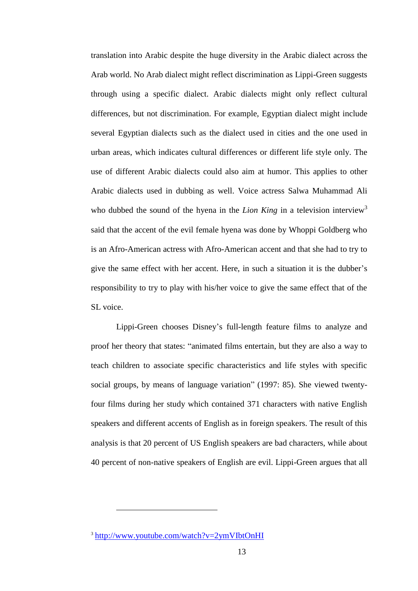translation into Arabic despite the huge diversity in the Arabic dialect across the Arab world. No Arab dialect might reflect discrimination as Lippi-Green suggests through using a specific dialect. Arabic dialects might only reflect cultural differences, but not discrimination. For example, Egyptian dialect might include several Egyptian dialects such as the dialect used in cities and the one used in urban areas, which indicates cultural differences or different life style only. The use of different Arabic dialects could also aim at humor. This applies to other Arabic dialects used in dubbing as well. Voice actress Salwa Muhammad Ali who dubbed the sound of the hyena in the *Lion King* in a television interview<sup>3</sup> said that the accent of the evil female hyena was done by Whoppi Goldberg who is an Afro-American actress with Afro-American accent and that she had to try to give the same effect with her accent. Here, in such a situation it is the dubber"s responsibility to try to play with his/her voice to give the same effect that of the SL voice.

Lippi-Green chooses Disney"s full-length feature films to analyze and proof her theory that states: "animated films entertain, but they are also a way to teach children to associate specific characteristics and life styles with specific social groups, by means of language variation" (1997: 85). She viewed twentyfour films during her study which contained 371 characters with native English speakers and different accents of English as in foreign speakers. The result of this analysis is that 20 percent of US English speakers are bad characters, while about 40 percent of non-native speakers of English are evil. Lippi-Green argues that all

 $\overline{a}$ 

<sup>&</sup>lt;sup>3</sup> <http://www.youtube.com/watch?v=2ymVIbtOnHI>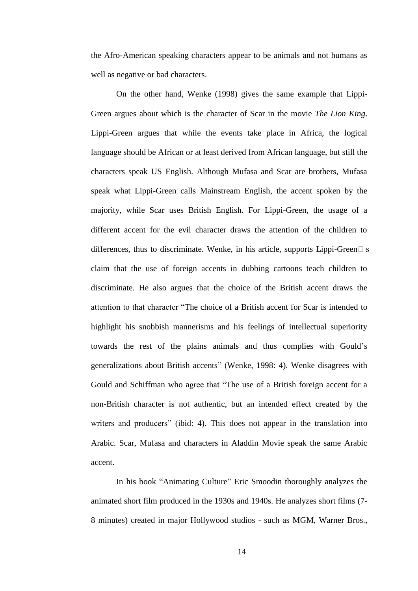the Afro-American speaking characters appear to be animals and not humans as well as negative or bad characters.

On the other hand, Wenke (1998) gives the same example that Lippi-Green argues about which is the character of Scar in the movie *The Lion King*. Lippi-Green argues that while the events take place in Africa, the logical language should be African or at least derived from African language, but still the characters speak US English. Although Mufasa and Scar are brothers, Mufasa speak what Lippi-Green calls Mainstream English, the accent spoken by the majority, while Scar uses British English. For Lippi-Green, the usage of a different accent for the evil character draws the attention of the children to differences, thus to discriminate. Wenke, in his article, supports Lippi-Green $\Box$  s claim that the use of foreign accents in dubbing cartoons teach children to discriminate. He also argues that the choice of the British accent draws the attention to that character "The choice of a British accent for Scar is intended to highlight his snobbish mannerisms and his feelings of intellectual superiority towards the rest of the plains animals and thus complies with Gould"s generalizations about British accents" (Wenke, 1998: 4). Wenke disagrees with Gould and Schiffman who agree that "The use of a British foreign accent for a non-British character is not authentic, but an intended effect created by the writers and producers" (ibid: 4). This does not appear in the translation into Arabic. Scar, Mufasa and characters in Aladdin Movie speak the same Arabic accent.

In his book "Animating Culture" Eric Smoodin thoroughly analyzes the animated short film produced in the 1930s and 1940s. He analyzes short films (7- 8 minutes) created in major Hollywood studios - such as MGM, Warner Bros.,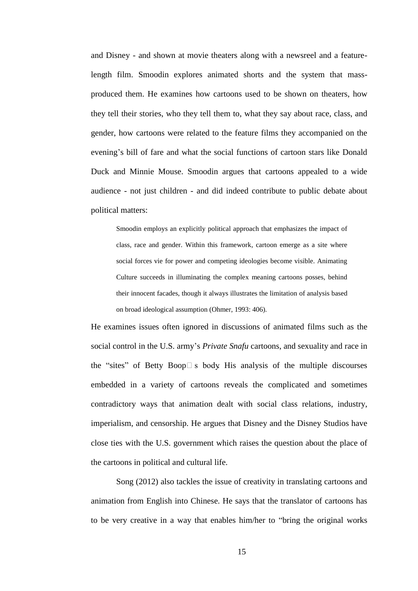and Disney - and shown at movie theaters along with a newsreel and a featurelength film. Smoodin explores animated shorts and the system that massproduced them. He examines how cartoons used to be shown on theaters, how they tell their stories, who they tell them to, what they say about race, class, and gender, how cartoons were related to the feature films they accompanied on the evening"s bill of fare and what the social functions of cartoon stars like Donald Duck and Minnie Mouse. Smoodin argues that cartoons appealed to a wide audience - not just children - and did indeed contribute to public debate about political matters:

Smoodin employs an explicitly political approach that emphasizes the impact of class, race and gender. Within this framework, cartoon emerge as a site where social forces vie for power and competing ideologies become visible. Animating Culture succeeds in illuminating the complex meaning cartoons posses, behind their innocent facades, though it always illustrates the limitation of analysis based on broad ideological assumption (Ohmer, 1993: 406).

He examines issues often ignored in discussions of animated films such as the social control in the U.S. army"s *Private Snafu* cartoons, and sexuality and race in the "sites" of Betty Boop $\Box$  s body. His analysis of the multiple discourses embedded in a variety of cartoons reveals the complicated and sometimes contradictory ways that animation dealt with social class relations, industry, imperialism, and censorship. He argues that Disney and the Disney Studios have close ties with the U.S. government which raises the question about the place of the cartoons in political and cultural life.

Song (2012) also tackles the issue of creativity in translating cartoons and animation from English into Chinese. He says that the translator of cartoons has to be very creative in a way that enables him/her to "bring the original works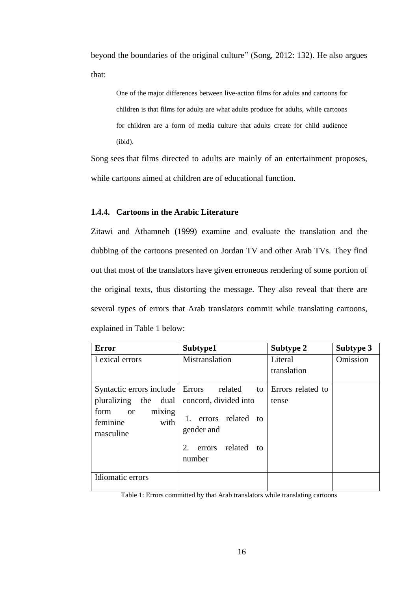beyond the boundaries of the original culture" (Song, 2012: 132). He also argues that:

One of the major differences between live-action films for adults and cartoons for children is that films for adults are what adults produce for adults, while cartoons for children are a form of media culture that adults create for child audience (ibid).

Song sees that films directed to adults are mainly of an entertainment proposes, while cartoons aimed at children are of educational function.

#### **1.4.4. Cartoons in the Arabic Literature**

Zitawi and Athamneh (1999) examine and evaluate the translation and the dubbing of the cartoons presented on Jordan TV and other Arab TVs. They find out that most of the translators have given erroneous rendering of some portion of the original texts, thus distorting the message. They also reveal that there are several types of errors that Arab translators commit while translating cartoons, explained in Table 1 below:

| <b>Error</b>                                                                                                              | Subtype1                                                                                                                   | Subtype 2                  | Subtype 3 |
|---------------------------------------------------------------------------------------------------------------------------|----------------------------------------------------------------------------------------------------------------------------|----------------------------|-----------|
| Lexical errors                                                                                                            | Mistranslation                                                                                                             | Literal<br>translation     | Omission  |
| Syntactic errors include   Errors<br>pluralizing the dual<br>mixing<br>form<br><b>or</b><br>feminine<br>with<br>masculine | related<br>to<br>concord, divided into<br>errors related to<br>1.<br>gender and<br>related<br>2.<br>errors<br>to<br>number | Errors related to<br>tense |           |
| Idiomatic errors                                                                                                          |                                                                                                                            |                            |           |

Table 1: Errors committed by that Arab translators while translating cartoons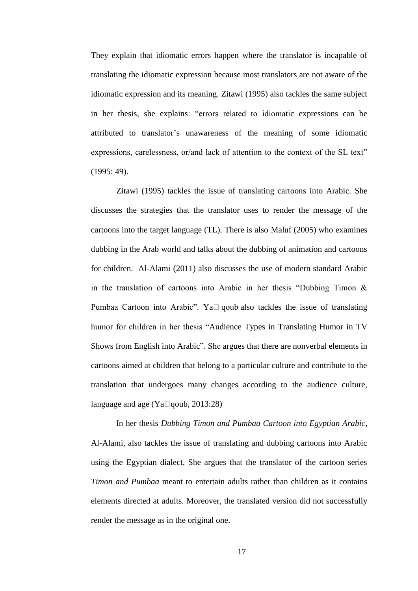They explain that idiomatic errors happen where the translator is incapable of translating the idiomatic expression because most translators are not aware of the idiomatic expression and its meaning. Zitawi (1995) also tackles the same subject in her thesis, she explains: "errors related to idiomatic expressions can be attributed to translator"s unawareness of the meaning of some idiomatic expressions, carelessness, or/and lack of attention to the context of the SL text" (1995: 49).

Zitawi (1995) tackles the issue of translating cartoons into Arabic. She discusses the strategies that the translator uses to render the message of the cartoons into the target language (TL). There is also Maluf (2005) who examines dubbing in the Arab world and talks about the dubbing of animation and cartoons for children. Al-Alami (2011) also discusses the use of modern standard Arabic in the translation of cartoons into Arabic in her thesis "Dubbing Timon  $\&$ Pumbaa Cartoon into Arabic". Ya $\Box$  qoub also tackles the issue of translating humor for children in her thesis "Audience Types in Translating Humor in TV Shows from English into Arabic". She argues that there are nonverbal elements in cartoons aimed at children that belong to a particular culture and contribute to the translation that undergoes many changes according to the audience culture, language and age (Ya $\square$ qoub, 2013:28)

In her thesis *Dubbing Timon and Pumbaa Cartoon into Egyptian Arabic*, Al-Alami, also tackles the issue of translating and dubbing cartoons into Arabic using the Egyptian dialect. She argues that the translator of the cartoon series *Timon and Pumbaa* meant to entertain adults rather than children as it contains elements directed at adults. Moreover, the translated version did not successfully render the message as in the original one.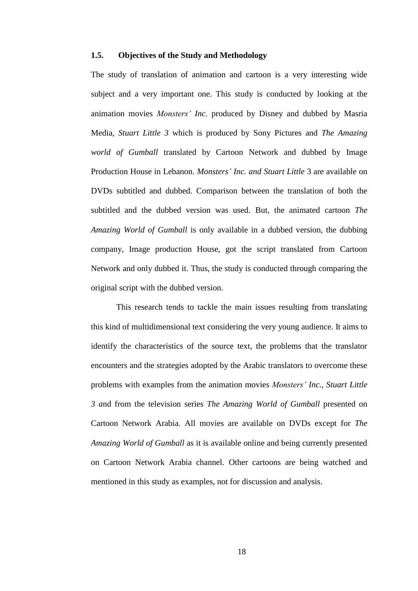#### **1.5. Objectives of the Study and Methodology**

The study of translation of animation and cartoon is a very interesting wide subject and a very important one. This study is conducted by looking at the animation movies *Monsters' Inc.* produced by Disney and dubbed by Masria Media, *Stuart Little 3* which is produced by Sony Pictures and *The Amazing world of Gumball* translated by Cartoon Network and dubbed by Image Production House in Lebanon. *Monsters' Inc. and Stuart Little* 3 are available on DVDs subtitled and dubbed. Comparison between the translation of both the subtitled and the dubbed version was used. But, the animated cartoon *The Amazing World of Gumball* is only available in a dubbed version, the dubbing company, Image production House, got the script translated from Cartoon Network and only dubbed it. Thus, the study is conducted through comparing the original script with the dubbed version.

This research tends to tackle the main issues resulting from translating this kind of multidimensional text considering the very young audience. It aims to identify the characteristics of the source text, the problems that the translator encounters and the strategies adopted by the Arabic translators to overcome these problems with examples from the animation movies *Monsters' Inc., Stuart Little 3 a*nd from the television series *The Amazing World of Gumball* presented on Cartoon Network Arabia*.* All movies are available on DVDs except for *The Amazing World of Gumball* as it is available online and being currently presented on Cartoon Network Arabia channel. Other cartoons are being watched and mentioned in this study as examples, not for discussion and analysis.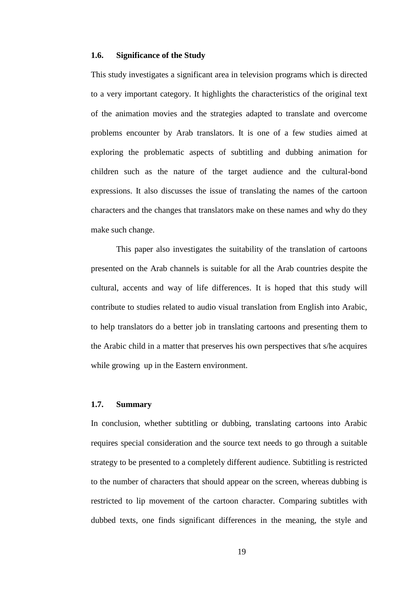#### **1.6. Significance of the Study**

This study investigates a significant area in television programs which is directed to a very important category. It highlights the characteristics of the original text of the animation movies and the strategies adapted to translate and overcome problems encounter by Arab translators. It is one of a few studies aimed at exploring the problematic aspects of subtitling and dubbing animation for children such as the nature of the target audience and the cultural-bond expressions. It also discusses the issue of translating the names of the cartoon characters and the changes that translators make on these names and why do they make such change.

This paper also investigates the suitability of the translation of cartoons presented on the Arab channels is suitable for all the Arab countries despite the cultural, accents and way of life differences. It is hoped that this study will contribute to studies related to audio visual translation from English into Arabic, to help translators do a better job in translating cartoons and presenting them to the Arabic child in a matter that preserves his own perspectives that s/he acquires while growing up in the Eastern environment.

#### **1.7. Summary**

In conclusion, whether subtitling or dubbing, translating cartoons into Arabic requires special consideration and the source text needs to go through a suitable strategy to be presented to a completely different audience. Subtitling is restricted to the number of characters that should appear on the screen, whereas dubbing is restricted to lip movement of the cartoon character. Comparing subtitles with dubbed texts, one finds significant differences in the meaning, the style and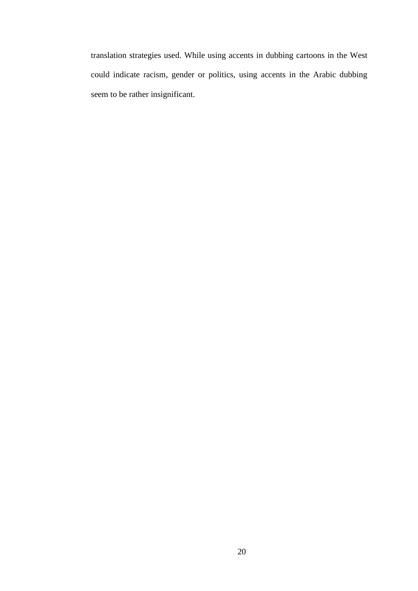translation strategies used. While using accents in dubbing cartoons in the West could indicate racism, gender or politics, using accents in the Arabic dubbing seem to be rather insignificant.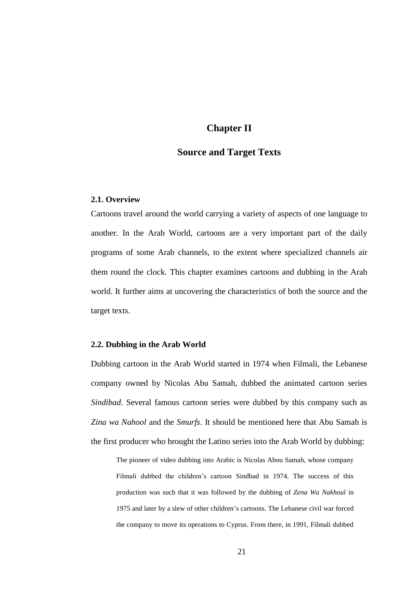### **Chapter II**

### **Source and Target Texts**

#### **2.1. Overview**

Cartoons travel around the world carrying a variety of aspects of one language to another. In the Arab World, cartoons are a very important part of the daily programs of some Arab channels, to the extent where specialized channels air them round the clock. This chapter examines cartoons and dubbing in the Arab world. It further aims at uncovering the characteristics of both the source and the target texts.

#### **2.2. Dubbing in the Arab World**

Dubbing cartoon in the Arab World started in 1974 when Filmali, the Lebanese company owned by Nicolas Abu Samah, dubbed the animated cartoon series *Sindibad.* Several famous cartoon series were dubbed by this company such as *Zina wa Nahool* and the *Smurfs*. It should be mentioned here that Abu Samah is the first producer who brought the Latino series into the Arab World by dubbing:

The pioneer of video dubbing into Arabic is Nicolas Abou Samah, whose company Filmali dubbed the children"s cartoon Sindbad in 1974. The success of this production was such that it was followed by the dubbing of *Zena Wa Nakhoul* in 1975 and later by a slew of other children"s cartoons. The Lebanese civil war forced the company to move its operations to Cyprus. From there, in 1991, Filmali dubbed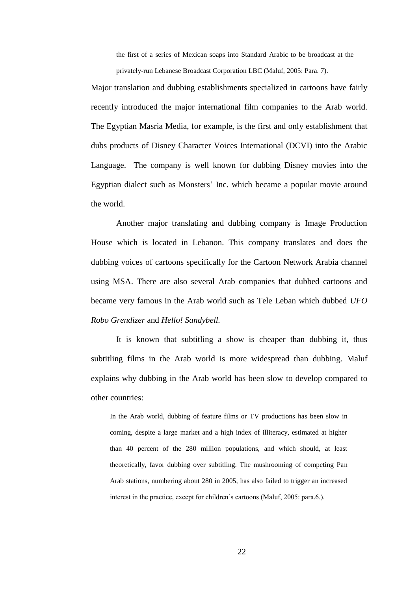the first of a series of Mexican soaps into Standard Arabic to be broadcast at the privately-run Lebanese Broadcast Corporation LBC (Maluf, 2005: Para. 7).

Major translation and dubbing establishments specialized in cartoons have fairly recently introduced the major international film companies to the Arab world. The Egyptian Masria Media, for example, is the first and only establishment that dubs products of Disney Character Voices International (DCVI) into the Arabic Language. The company is well known for dubbing Disney movies into the Egyptian dialect such as Monsters" Inc. which became a popular movie around the world.

Another major translating and dubbing company is Image Production House which is located in Lebanon. This company translates and does the dubbing voices of cartoons specifically for the Cartoon Network Arabia channel using MSA. There are also several Arab companies that dubbed cartoons and became very famous in the Arab world such as Tele Leban which dubbed *UFO Robo Grendizer* and *Hello! Sandybell.*

It is known that subtitling a show is cheaper than dubbing it, thus subtitling films in the Arab world is more widespread than dubbing. Maluf explains why dubbing in the Arab world has been slow to develop compared to other countries:

In the Arab world, dubbing of feature films or TV productions has been slow in coming, despite a large market and a high index of illiteracy, estimated at higher than 40 percent of the 280 million populations, and which should, at least theoretically, favor dubbing over subtitling. The mushrooming of competing Pan Arab stations, numbering about 280 in 2005, has also failed to trigger an increased interest in the practice, except for children's cartoons (Maluf, 2005: para.6.).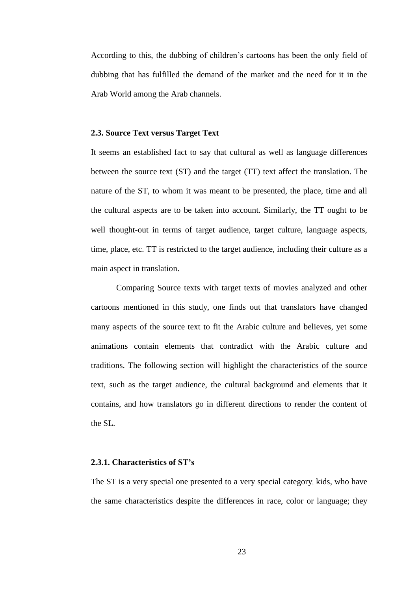According to this, the dubbing of children"s cartoons has been the only field of dubbing that has fulfilled the demand of the market and the need for it in the Arab World among the Arab channels.

#### **2.3. Source Text versus Target Text**

It seems an established fact to say that cultural as well as language differences between the source text (ST) and the target (TT) text affect the translation. The nature of the ST, to whom it was meant to be presented, the place, time and all the cultural aspects are to be taken into account. Similarly, the TT ought to be well thought-out in terms of target audience, target culture, language aspects, time, place, etc. TT is restricted to the target audience, including their culture as a main aspect in translation.

Comparing Source texts with target texts of movies analyzed and other cartoons mentioned in this study, one finds out that translators have changed many aspects of the source text to fit the Arabic culture and believes, yet some animations contain elements that contradict with the Arabic culture and traditions. The following section will highlight the characteristics of the source text, such as the target audience, the cultural background and elements that it contains, and how translators go in different directions to render the content of the SL.

#### **2.3.1. Characteristics of ST's**

The ST is a very special one presented to a very special category, kids, who have the same characteristics despite the differences in race, color or language; they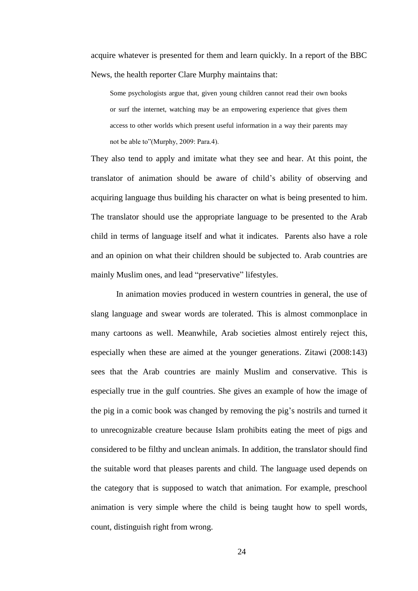acquire whatever is presented for them and learn quickly. In a report of the BBC News, the health reporter Clare Murphy maintains that:

Some psychologists argue that, given young children cannot read their own books or surf the internet, watching may be an empowering experience that gives them access to other worlds which present useful information in a way their parents may not be able to"(Murphy, 2009: Para.4).

They also tend to apply and imitate what they see and hear. At this point, the translator of animation should be aware of child"s ability of observing and acquiring language thus building his character on what is being presented to him. The translator should use the appropriate language to be presented to the Arab child in terms of language itself and what it indicates. Parents also have a role and an opinion on what their children should be subjected to. Arab countries are mainly Muslim ones, and lead "preservative" lifestyles.

In animation movies produced in western countries in general, the use of slang language and swear words are tolerated. This is almost commonplace in many cartoons as well. Meanwhile, Arab societies almost entirely reject this, especially when these are aimed at the younger generations. Zitawi (2008:143) sees that the Arab countries are mainly Muslim and conservative. This is especially true in the gulf countries. She gives an example of how the image of the pig in a comic book was changed by removing the pig"s nostrils and turned it to unrecognizable creature because Islam prohibits eating the meet of pigs and considered to be filthy and unclean animals. In addition, the translator should find the suitable word that pleases parents and child. The language used depends on the category that is supposed to watch that animation. For example, preschool animation is very simple where the child is being taught how to spell words, count, distinguish right from wrong.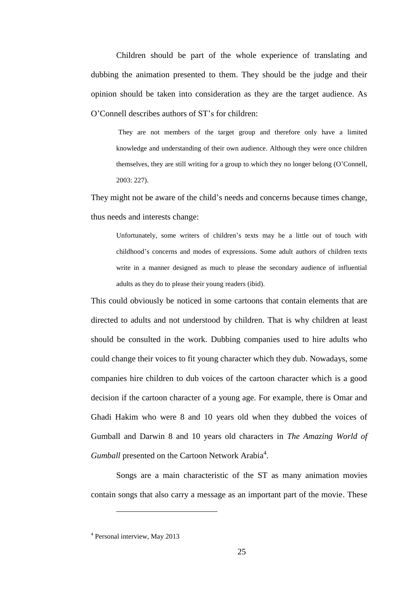Children should be part of the whole experience of translating and dubbing the animation presented to them. They should be the judge and their opinion should be taken into consideration as they are the target audience. As O"Connell describes authors of ST"s for children:

They are not members of the target group and therefore only have a limited knowledge and understanding of their own audience. Although they were once children themselves, they are still writing for a group to which they no longer belong (O"Connell, 2003: 227).

They might not be aware of the child"s needs and concerns because times change, thus needs and interests change:

Unfortunately, some writers of children"s texts may be a little out of touch with childhood"s concerns and modes of expressions. Some adult authors of children texts write in a manner designed as much to please the secondary audience of influential adults as they do to please their young readers (ibid).

This could obviously be noticed in some cartoons that contain elements that are directed to adults and not understood by children. That is why children at least should be consulted in the work. Dubbing companies used to hire adults who could change their voices to fit young character which they dub. Nowadays, some companies hire children to dub voices of the cartoon character which is a good decision if the cartoon character of a young age. For example, there is Omar and Ghadi Hakim who were 8 and 10 years old when they dubbed the voices of Gumball and Darwin 8 and 10 years old characters in *The Amazing World of*  Gumball presented on the Cartoon Network Arabia<sup>4</sup>.

Songs are a main characteristic of the ST as many animation movies contain songs that also carry a message as an important part of the movie. These

 $\overline{a}$ 

<sup>4</sup> Personal interview, May 2013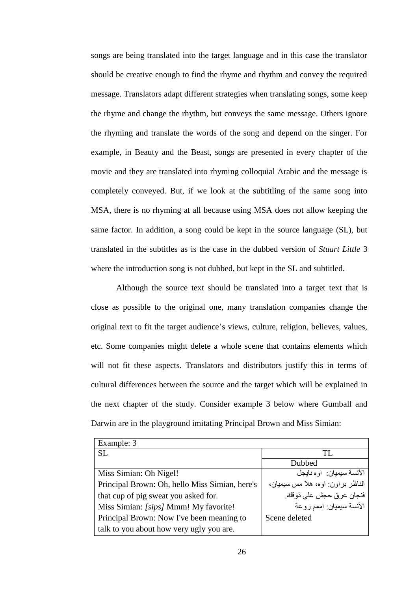songs are being translated into the target language and in this case the translator should be creative enough to find the rhyme and rhythm and convey the required message. Translators adapt different strategies when translating songs, some keep the rhyme and change the rhythm, but conveys the same message. Others ignore the rhyming and translate the words of the song and depend on the singer. For example, in Beauty and the Beast, songs are presented in every chapter of the movie and they are translated into rhyming colloquial Arabic and the message is completely conveyed. But, if we look at the subtitling of the same song into MSA, there is no rhyming at all because using MSA does not allow keeping the same factor. In addition, a song could be kept in the source language (SL), but translated in the subtitles as is the case in the dubbed version of *Stuart Little* 3 where the introduction song is not dubbed, but kept in the SL and subtitled.

Although the source text should be translated into a target text that is close as possible to the original one, many translation companies change the original text to fit the target audience"s views, culture, religion, believes, values, etc. Some companies might delete a whole scene that contains elements which will not fit these aspects. Translators and distributors justify this in terms of cultural differences between the source and the target which will be explained in the next chapter of the study. Consider example 3 below where Gumball and Darwin are in the playground imitating Principal Brown and Miss Simian:

| Example: 3                                     |                                   |
|------------------------------------------------|-----------------------------------|
| SL.                                            | TL.                               |
|                                                | Dubbed                            |
| Miss Simian: Oh Nigel!                         | الآنسة سيميان: او ه نايجل         |
| Principal Brown: Oh, hello Miss Simian, here's | الناظر براون: اوه، هلا مس سيميان، |
| that cup of pig sweat you asked for.           | فنجان عرق حجش على ذوقك            |
| Miss Simian: [sips] Mmm! My favorite!          | الآنسة سيميان: اممم روعة          |
| Principal Brown: Now I've been meaning to      | Scene deleted                     |
| talk to you about how very ugly you are.       |                                   |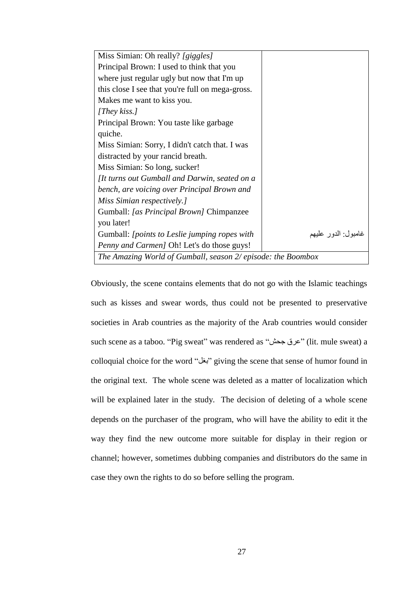| Miss Simian: Oh really? [giggles]                            |                     |
|--------------------------------------------------------------|---------------------|
| Principal Brown: I used to think that you                    |                     |
| where just regular ugly but now that I'm up                  |                     |
| this close I see that you're full on mega-gross.             |                     |
| Makes me want to kiss you.                                   |                     |
| [They kiss.]                                                 |                     |
| Principal Brown: You taste like garbage                      |                     |
| quiche.                                                      |                     |
| Miss Simian: Sorry, I didn't catch that. I was               |                     |
| distracted by your rancid breath.                            |                     |
| Miss Simian: So long, sucker!                                |                     |
| [It turns out Gumball and Darwin, seated on a                |                     |
| bench, are voicing over Principal Brown and                  |                     |
| Miss Simian respectively.]                                   |                     |
| Gumball: [as Principal Brown] Chimpanzee                     |                     |
| you later!                                                   |                     |
| Gumball: [points to Leslie jumping ropes with                | غامبول: الدور عليهم |
| Penny and Carmen] Oh! Let's do those guys!                   |                     |
| The Amazing World of Gumball, season 2/ episode: the Boombox |                     |

Obviously, the scene contains elements that do not go with the Islamic teachings such as kisses and swear words, thus could not be presented to preservative societies in Arab countries as the majority of the Arab countries would consider such scene as a taboo. "Pig sweat" was rendered as "جذص ػشق) "lit. mule sweat) a colloquial choice for the word "بغل" giving the scene that sense of humor found in the original text. The whole scene was deleted as a matter of localization which will be explained later in the study. The decision of deleting of a whole scene depends on the purchaser of the program, who will have the ability to edit it the way they find the new outcome more suitable for display in their region or channel; however, sometimes dubbing companies and distributors do the same in case they own the rights to do so before selling the program.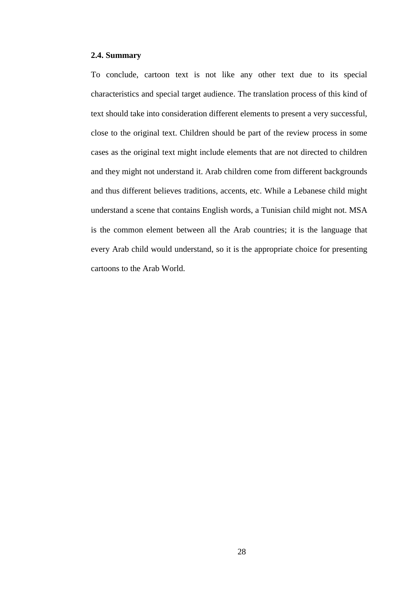#### **2.4. Summary**

To conclude, cartoon text is not like any other text due to its special characteristics and special target audience. The translation process of this kind of text should take into consideration different elements to present a very successful, close to the original text. Children should be part of the review process in some cases as the original text might include elements that are not directed to children and they might not understand it. Arab children come from different backgrounds and thus different believes traditions, accents, etc. While a Lebanese child might understand a scene that contains English words, a Tunisian child might not. MSA is the common element between all the Arab countries; it is the language that every Arab child would understand, so it is the appropriate choice for presenting cartoons to the Arab World.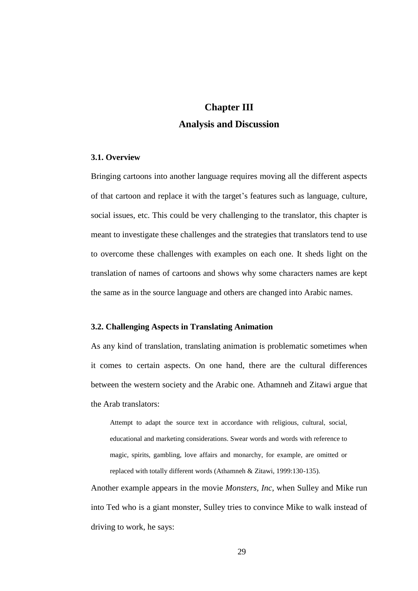# **Chapter III Analysis and Discussion**

#### **3.1. Overview**

Bringing cartoons into another language requires moving all the different aspects of that cartoon and replace it with the target"s features such as language, culture, social issues, etc. This could be very challenging to the translator, this chapter is meant to investigate these challenges and the strategies that translators tend to use to overcome these challenges with examples on each one. It sheds light on the translation of names of cartoons and shows why some characters names are kept the same as in the source language and others are changed into Arabic names.

#### **3.2. Challenging Aspects in Translating Animation**

As any kind of translation, translating animation is problematic sometimes when it comes to certain aspects. On one hand, there are the cultural differences between the western society and the Arabic one. Athamneh and Zitawi argue that the Arab translators:

Attempt to adapt the source text in accordance with religious, cultural, social, educational and marketing considerations. Swear words and words with reference to magic, spirits, gambling, love affairs and monarchy, for example, are omitted or replaced with totally different words (Athamneh & Zitawi, 1999:130-135).

Another example appears in the movie *Monsters, Inc*, when Sulley and Mike run into Ted who is a giant monster, Sulley tries to convince Mike to walk instead of driving to work, he says: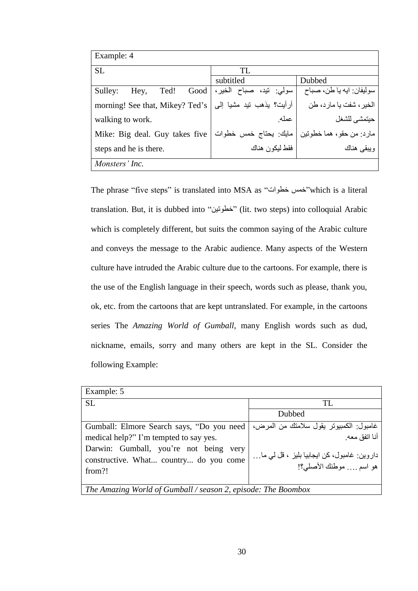| Example: 4                      |                            |                          |  |  |
|---------------------------------|----------------------------|--------------------------|--|--|
| <b>SL</b>                       | TL                         |                          |  |  |
|                                 | subtitled                  | Dubbed                   |  |  |
| Sulley:<br>Ted!<br>Good<br>Hey, | الخير ،<br>سولي: تيد، صباح | سوليفان: ايه يا طن، صباح |  |  |
| morning! See that, Mikey? Ted's | أرأيت؟ يذهب تيد مشيا إلى   | الخير ، شفت يا مار د، طن |  |  |
| walking to work.                | عمله                       | حيتمشي للشغل             |  |  |
| Mike: Big deal. Guy takes five  | مايك يحتاج خمس خطوات       | مارد: من حقو، هما خطوتين |  |  |
| steps and he is there.          | فقط ليكون هناك             | ويبقى هناك               |  |  |
| Monsters' Inc.                  |                            |                          |  |  |

The phrase "five steps" is translated into MSA as "خمس خطوات" which is a literal translation. But, it is dubbed into "خطونين" (lit. two steps) into colloquial Arabic which is completely different, but suits the common saying of the Arabic culture and conveys the message to the Arabic audience. Many aspects of the Western culture have intruded the Arabic culture due to the cartoons. For example, there is the use of the English language in their speech, words such as please, thank you, ok, etc. from the cartoons that are kept untranslated. For example, in the cartoons series The *Amazing World of Gumball,* many English words such as dud, nickname, emails, sorry and many others are kept in the SL. Consider the following Example:

| Example: 5                                                                                 |                                                                        |  |  |
|--------------------------------------------------------------------------------------------|------------------------------------------------------------------------|--|--|
| <b>SL</b>                                                                                  | TL.                                                                    |  |  |
|                                                                                            | Dubbed                                                                 |  |  |
| Gumball: Elmore Search says, "Do you need                                                  | غامبول الكمبيونر يقول سلامنك من المرض،<br>أنا انفق معه                 |  |  |
| medical help?" I'm tempted to say yes.                                                     |                                                                        |  |  |
| Darwin: Gumball, you're not being very<br>constructive. What country do you come<br>from?! | داروین: غامبول، کن ایجابیا بلیز ، قل لمی ما…<br>هو اسم  موطنك الأصلي؟! |  |  |
| The Amazing World of Gumball / season 2, episode: The Boombox                              |                                                                        |  |  |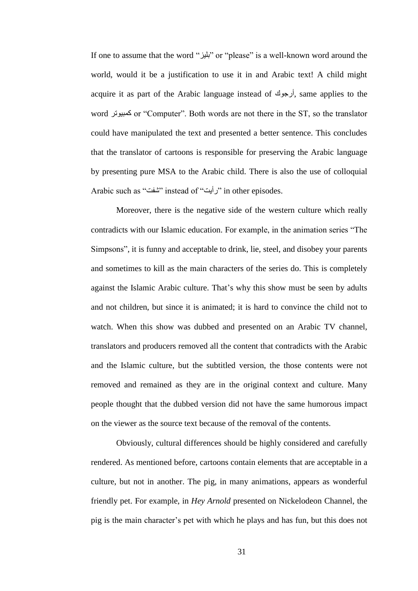If one to assume that the word "بليز" or "please" is a well-known word around the world, would it be a justification to use it in and Arabic text! A child might acquire it as part of the Arabic language instead of أرجوك, same applies to the word رشٛ١جّو or "Computer". Both words are not there in the ST, so the translator could have manipulated the text and presented a better sentence. This concludes that the translator of cartoons is responsible for preserving the Arabic language by presenting pure MSA to the Arabic child. There is also the use of colloquial Arabic such as "شفت" instead of "زأيت") in other episodes.

Moreover, there is the negative side of the western culture which really contradicts with our Islamic education. For example, in the animation series "The Simpsons", it is funny and acceptable to drink, lie, steel, and disobey your parents and sometimes to kill as the main characters of the series do. This is completely against the Islamic Arabic culture. That's why this show must be seen by adults and not children, but since it is animated; it is hard to convince the child not to watch. When this show was dubbed and presented on an Arabic TV channel, translators and producers removed all the content that contradicts with the Arabic and the Islamic culture, but the subtitled version, the those contents were not removed and remained as they are in the original context and culture. Many people thought that the dubbed version did not have the same humorous impact on the viewer as the source text because of the removal of the contents.

Obviously, cultural differences should be highly considered and carefully rendered. As mentioned before, cartoons contain elements that are acceptable in a culture, but not in another. The pig, in many animations, appears as wonderful friendly pet. For example, in *Hey Arnold* presented on Nickelodeon Channel, the pig is the main character"s pet with which he plays and has fun, but this does not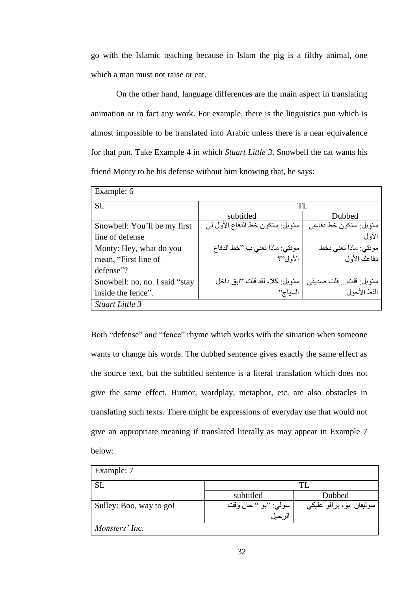go with the Islamic teaching because in Islam the pig is a filthy animal, one which a man must not raise or eat.

On the other hand, language differences are the main aspect in translating animation or in fact any work. For example, there is the linguistics pun which is almost impossible to be translated into Arabic unless there is a near equivalence for that pun. Take Example 4 in which *Stuart Little 3*, Snowbell the cat wants his friend Monty to be his defense without him knowing that, he says:

| Example: 6                     |                                 |                       |  |  |  |
|--------------------------------|---------------------------------|-----------------------|--|--|--|
| <b>SL</b>                      | TL                              |                       |  |  |  |
|                                | subtitled                       | Dubbed                |  |  |  |
| Snowbell: You'll be my first   | سنوبل: ستكون خط الدفاع الأول لي | سنوبل: ستكون خط دفاعي |  |  |  |
| line of defense                |                                 | الأول                 |  |  |  |
| Monty: Hey, what do you        | مونتي: ماذا تعني ب "خط الدفاع   | مونتي: ماذا تعني بخط  |  |  |  |
| mean, "First line of           | الأول"؟                         | دفاعك الأول           |  |  |  |
| defense"?                      |                                 |                       |  |  |  |
| Snowbell: no, no. I said "stay | سنويل: كلا، لقد قلت ''ابق داخل  | سنوبل: قلت قلت صديقي  |  |  |  |
| inside the fence".             | السياج''                        | القط الأحو ل          |  |  |  |
| Stuart Little 3                |                                 |                       |  |  |  |

Both "defense" and "fence" rhyme which works with the situation when someone wants to change his words. The dubbed sentence gives exactly the same effect as the source text, but the subtitled sentence is a literal translation which does not give the same effect. Humor, wordplay, metaphor, etc. are also obstacles in translating such texts. There might be expressions of everyday use that would not give an appropriate meaning if translated literally as may appear in Example 7 below:

| Example: 7              |                       |                          |
|-------------------------|-----------------------|--------------------------|
| <b>SL</b>               |                       | TL.                      |
|                         | subtitled             | Dubbed                   |
| Sulley: Boo, way to go! | سولي: ''بو '' حان وقت | سوليفان: بو، برافو عليكي |
|                         | الرحيل                |                          |
| Monsters' Inc.          |                       |                          |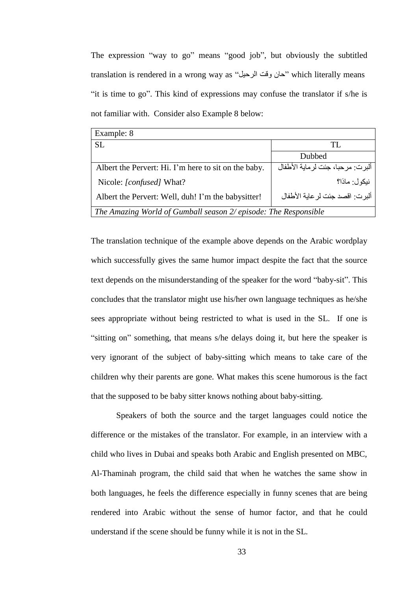The expression "way to go" means "good job", but obviously the subtitled translation is rendered in a wrong way as "حان وقت الرحيل" which literally means "it is time to go". This kind of expressions may confuse the translator if s/he is not familiar with. Consider also Example 8 below:

| Example: 8                                                      |                                  |
|-----------------------------------------------------------------|----------------------------------|
| <b>SL</b>                                                       | TL.                              |
|                                                                 | Dubbed                           |
| Albert the Pervert: Hi. I'm here to sit on the baby.            | ألبرت: مرحبا، جئت لرماية الأطفال |
| Nicole: [confused] What?                                        | نبكو ل: ماذا؟                    |
| Albert the Pervert: Well, duh! I'm the babysitter!              | ألبرت: اقصد جئت لر عاية الأطفال  |
| The Amazing World of Gumball season 2/ episode: The Responsible |                                  |

The translation technique of the example above depends on the Arabic wordplay which successfully gives the same humor impact despite the fact that the source text depends on the misunderstanding of the speaker for the word "baby-sit". This concludes that the translator might use his/her own language techniques as he/she sees appropriate without being restricted to what is used in the SL. If one is "sitting on" something, that means s/he delays doing it, but here the speaker is very ignorant of the subject of baby-sitting which means to take care of the children why their parents are gone. What makes this scene humorous is the fact that the supposed to be baby sitter knows nothing about baby-sitting.

Speakers of both the source and the target languages could notice the difference or the mistakes of the translator. For example, in an interview with a child who lives in Dubai and speaks both Arabic and English presented on MBC, Al-Thaminah program, the child said that when he watches the same show in both languages, he feels the difference especially in funny scenes that are being rendered into Arabic without the sense of humor factor, and that he could understand if the scene should be funny while it is not in the SL.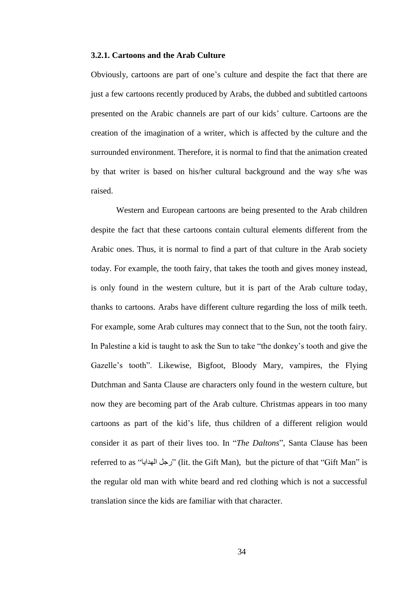#### **3.2.1. Cartoons and the Arab Culture**

Obviously, cartoons are part of one"s culture and despite the fact that there are just a few cartoons recently produced by Arabs, the dubbed and subtitled cartoons presented on the Arabic channels are part of our kids" culture. Cartoons are the creation of the imagination of a writer, which is affected by the culture and the surrounded environment. Therefore, it is normal to find that the animation created by that writer is based on his/her cultural background and the way s/he was raised.

Western and European cartoons are being presented to the Arab children despite the fact that these cartoons contain cultural elements different from the Arabic ones. Thus, it is normal to find a part of that culture in the Arab society today. For example, the tooth fairy, that takes the tooth and gives money instead, is only found in the western culture, but it is part of the Arab culture today, thanks to cartoons. Arabs have different culture regarding the loss of milk teeth. For example, some Arab cultures may connect that to the Sun, not the tooth fairy. In Palestine a kid is taught to ask the Sun to take "the donkey"s tooth and give the Gazelle"s tooth". Likewise, Bigfoot, Bloody Mary, vampires, the Flying Dutchman and Santa Clause are characters only found in the western culture, but now they are becoming part of the Arab culture. Christmas appears in too many cartoons as part of the kid"s life, thus children of a different religion would consider it as part of their lives too. In "*The Daltons*", Santa Clause has been referred to as "رجل الهدايا" (lit. the Gift Man), but the picture of that "Gift Man" is the regular old man with white beard and red clothing which is not a successful translation since the kids are familiar with that character.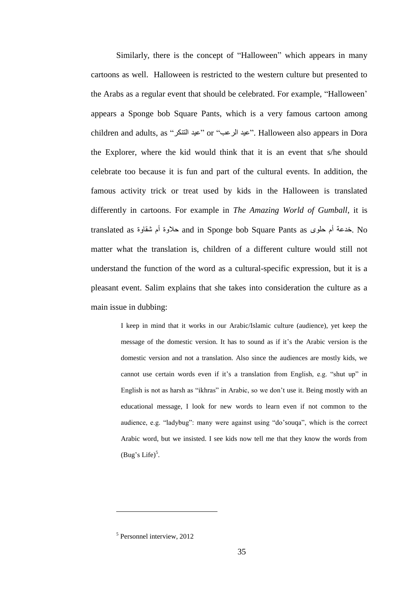Similarly, there is the concept of "Halloween" which appears in many cartoons as well. Halloween is restricted to the western culture but presented to the Arabs as a regular event that should be celebrated. For example, "Halloween" appears a Sponge bob Square Pants, which is a very famous cartoon among children and adults, as "عيد الرعب" or "عبد الذرعت". Halloween also appears in Dora the Explorer, where the kid would think that it is an event that s/he should celebrate too because it is fun and part of the cultural events. In addition, the famous activity trick or treat used by kids in the Halloween is translated differently in cartoons. For example in *The Amazing World of Gumball*, it is translated as حلاوة أم شقاوة and in Sponge bob Square Pants as خدعة أم حلوى matter what the translation is, children of a different culture would still not understand the function of the word as a cultural-specific expression, but it is a pleasant event. Salim explains that she takes into consideration the culture as a main issue in dubbing:

> I keep in mind that it works in our Arabic/Islamic culture (audience), yet keep the message of the domestic version. It has to sound as if it"s the Arabic version is the domestic version and not a translation. Also since the audiences are mostly kids, we cannot use certain words even if it's a translation from English, e.g. "shut up" in English is not as harsh as "ikhras" in Arabic, so we don"t use it. Being mostly with an educational message, I look for new words to learn even if not common to the audience, e.g. "ladybug": many were against using "do"souqa", which is the correct Arabic word, but we insisted. I see kids now tell me that they know the words from (Bug's Life)<sup>5</sup>.

 $\overline{a}$ 

<sup>5</sup> Personnel interview, 2012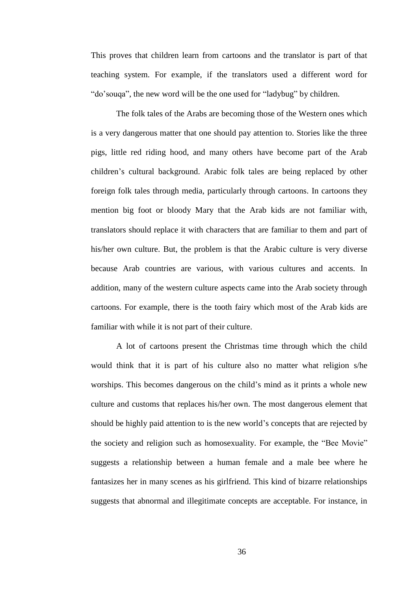This proves that children learn from cartoons and the translator is part of that teaching system. For example, if the translators used a different word for "do"souqa", the new word will be the one used for "ladybug" by children.

The folk tales of the Arabs are becoming those of the Western ones which is a very dangerous matter that one should pay attention to. Stories like the three pigs, little red riding hood, and many others have become part of the Arab children"s cultural background. Arabic folk tales are being replaced by other foreign folk tales through media, particularly through cartoons. In cartoons they mention big foot or bloody Mary that the Arab kids are not familiar with, translators should replace it with characters that are familiar to them and part of his/her own culture. But, the problem is that the Arabic culture is very diverse because Arab countries are various, with various cultures and accents. In addition, many of the western culture aspects came into the Arab society through cartoons. For example, there is the tooth fairy which most of the Arab kids are familiar with while it is not part of their culture.

A lot of cartoons present the Christmas time through which the child would think that it is part of his culture also no matter what religion s/he worships. This becomes dangerous on the child"s mind as it prints a whole new culture and customs that replaces his/her own. The most dangerous element that should be highly paid attention to is the new world"s concepts that are rejected by the society and religion such as homosexuality. For example, the "Bee Movie" suggests a relationship between a human female and a male bee where he fantasizes her in many scenes as his girlfriend. This kind of bizarre relationships suggests that abnormal and illegitimate concepts are acceptable. For instance, in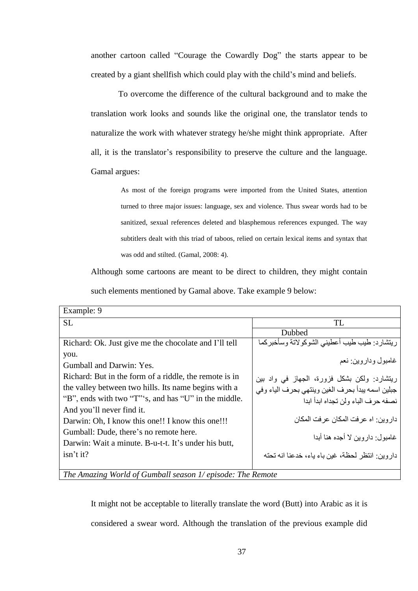another cartoon called "Courage the Cowardly Dog" the starts appear to be created by a giant shellfish which could play with the child"s mind and beliefs.

To overcome the difference of the cultural background and to make the translation work looks and sounds like the original one, the translator tends to naturalize the work with whatever strategy he/she might think appropriate. After all, it is the translator"s responsibility to preserve the culture and the language. Gamal argues:

> As most of the foreign programs were imported from the United States, attention turned to three major issues: language, sex and violence. Thus swear words had to be sanitized, sexual references deleted and blasphemous references expunged. The way subtitlers dealt with this triad of taboos, relied on certain lexical items and syntax that was odd and stilted. (Gamal, 2008: 4).

Although some cartoons are meant to be direct to children, they might contain such elements mentioned by Gamal above. Take example 9 below:

| Example: 9                                                                                                                                                                                                                                                                                                                                                                                                   |                                                                                                                                                                                                                                                                                                  |
|--------------------------------------------------------------------------------------------------------------------------------------------------------------------------------------------------------------------------------------------------------------------------------------------------------------------------------------------------------------------------------------------------------------|--------------------------------------------------------------------------------------------------------------------------------------------------------------------------------------------------------------------------------------------------------------------------------------------------|
| <b>SL</b>                                                                                                                                                                                                                                                                                                                                                                                                    | TL                                                                                                                                                                                                                                                                                               |
|                                                                                                                                                                                                                                                                                                                                                                                                              | Dubbed                                                                                                                                                                                                                                                                                           |
| Richard: Ok. Just give me the chocolate and I'll tell                                                                                                                                                                                                                                                                                                                                                        | ريتشارد: طيب طيب أعطيني الشوكولاتة وسأخبركما                                                                                                                                                                                                                                                     |
| you.<br>Gumball and Darwin: Yes.<br>Richard: But in the form of a riddle, the remote is in<br>the valley between two hills. Its name begins with a<br>"B", ends with two "T"'s, and has "U" in the middle.<br>And you'll never find it.<br>Darwin: Oh, I know this one!! I know this one!!!<br>Gumball: Dude, there's no remote here.<br>Darwin: Wait a minute. B-u-t-t. It's under his butt,<br>$isn't$ it? | غامبول ودار وين زنعم<br>ريتشارد: ولكن بشكل فزورة، الجهاز في واد بين<br>جبلين اسمه يبدأ بحرف الغين وينتهى بحرف الياء وفي<br>نصفه حرف الباء ولن تجداه ابدأ ابدا<br>دار و بن: اه عر فت المكان عر فت المكان<br>غامبو ل: دار و بن لا أجده هنا أبدا<br>دار وبن انتظر لحظة، غبن باء باء، خدعنا انه تحته |
|                                                                                                                                                                                                                                                                                                                                                                                                              |                                                                                                                                                                                                                                                                                                  |

*The Amazing World of Gumball season 1/ episode: The Remote*

It might not be acceptable to literally translate the word (Butt) into Arabic as it is considered a swear word. Although the translation of the previous example did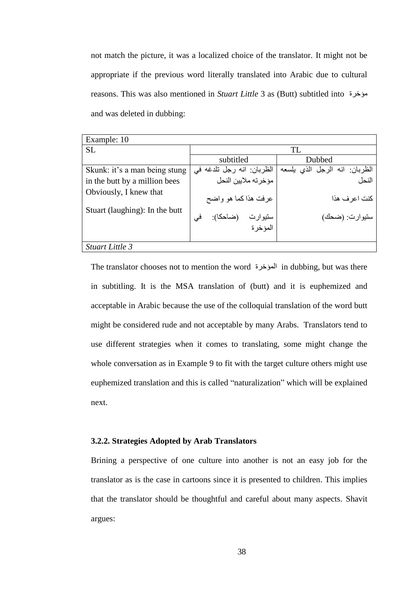not match the picture, it was a localized choice of the translator. It might not be appropriate if the previous word literally translated into Arabic due to cultural reasons. This was also mentioned in *Stuart Little* 3 as (Butt) subtitled into ؤخشحِ and was deleted in dubbing:

| Example: 10                    |                                      |                               |  |  |  |
|--------------------------------|--------------------------------------|-------------------------------|--|--|--|
| <b>SL</b>                      |                                      | TL                            |  |  |  |
|                                | subtitled                            | Dubbed                        |  |  |  |
| Skunk: it's a man being stung  | الظربان: انه رجل تلدغه في            | الظربان: انه الرجل الذي يلسعه |  |  |  |
| in the butt by a million bees  | مؤخر ته ملابين النحل                 | النحل                         |  |  |  |
| Obviously, I knew that         | عرفت هذاكما هو واضح                  | كنت اعر ف هذا                 |  |  |  |
| Stuart (laughing): In the butt | (ضاحكا):<br>سنيوارت<br>فی<br>المؤخرة | ستيوارت: (ضحك)                |  |  |  |
| Stuart Little 3                |                                      |                               |  |  |  |

The translator chooses not to mention the word [ملوخرة in dubbing, but was there in subtitling. It is the MSA translation of (butt) and it is euphemized and acceptable in Arabic because the use of the colloquial translation of the word butt might be considered rude and not acceptable by many Arabs. Translators tend to use different strategies when it comes to translating, some might change the whole conversation as in Example 9 to fit with the target culture others might use euphemized translation and this is called "naturalization" which will be explained next.

# **3.2.2. Strategies Adopted by Arab Translators**

Brining a perspective of one culture into another is not an easy job for the translator as is the case in cartoons since it is presented to children. This implies that the translator should be thoughtful and careful about many aspects. Shavit argues: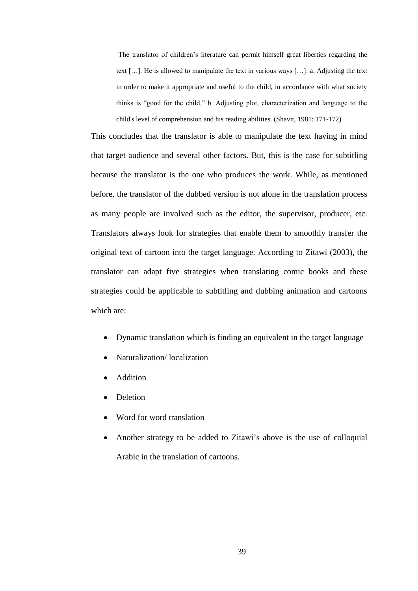The translator of children"s literature can permit himself great liberties regarding the text […]. He is allowed to manipulate the text in various ways […]: a. Adjusting the text in order to make it appropriate and useful to the child, in accordance with what society thinks is "good for the child." b. Adjusting plot, characterization and language to the child's level of comprehension and his reading abilities. (Shavit, 1981: 171-172)

This concludes that the translator is able to manipulate the text having in mind that target audience and several other factors. But, this is the case for subtitling because the translator is the one who produces the work. While, as mentioned before, the translator of the dubbed version is not alone in the translation process as many people are involved such as the editor, the supervisor, producer, etc. Translators always look for strategies that enable them to smoothly transfer the original text of cartoon into the target language. According to Zitawi (2003), the translator can adapt five strategies when translating comic books and these strategies could be applicable to subtitling and dubbing animation and cartoons which are:

- Dynamic translation which is finding an equivalent in the target language
- Naturalization/ localization
- Addition
- Deletion
- Word for word translation
- Another strategy to be added to Zitawi"s above is the use of colloquial Arabic in the translation of cartoons.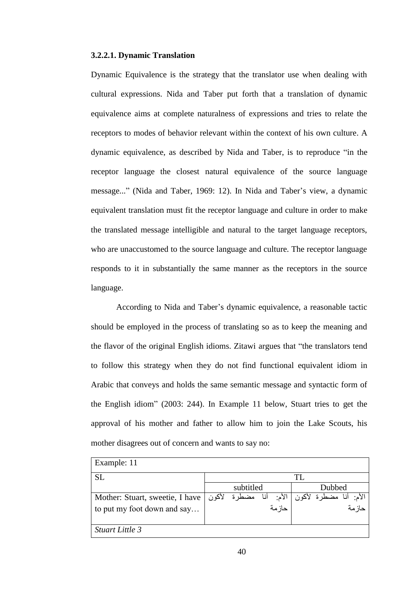#### **3.2.2.1. Dynamic Translation**

Dynamic Equivalence is the strategy that the translator use when dealing with cultural expressions. Nida and Taber put forth that a translation of dynamic equivalence aims at complete naturalness of expressions and tries to relate the receptors to modes of behavior relevant within the context of his own culture. A dynamic equivalence, as described by Nida and Taber, is to reproduce "in the receptor language the closest natural equivalence of the source language message..." (Nida and Taber, 1969: 12). In Nida and Taber"s view, a dynamic equivalent translation must fit the receptor language and culture in order to make the translated message intelligible and natural to the target language receptors, who are unaccustomed to the source language and culture. The receptor language responds to it in substantially the same manner as the receptors in the source language.

According to Nida and Taber"s dynamic equivalence, a reasonable tactic should be employed in the process of translating so as to keep the meaning and the flavor of the original English idioms. Zitawi argues that "the translators tend to follow this strategy when they do not find functional equivalent idiom in Arabic that conveys and holds the same semantic message and syntactic form of the English idiom" (2003: 244). In Example 11 below, Stuart tries to get the approval of his mother and father to allow him to join the Lake Scouts, his mother disagrees out of concern and wants to say no:

| Example: 11                                            |           |        |     |                 |        |
|--------------------------------------------------------|-----------|--------|-----|-----------------|--------|
| <b>SL</b>                                              |           |        | TI. |                 |        |
|                                                        | subtitled |        |     | Dubbed          |        |
| Mother: Stuart, sweetie, I have $\vert \Omega \rangle$ | مضطر ة    | الأم:  |     | أنا مضطرة لأكون | الأم:  |
| to put my foot down and say                            |           | حاز مة |     |                 | حاز مة |
|                                                        |           |        |     |                 |        |
| Stuart Little 3                                        |           |        |     |                 |        |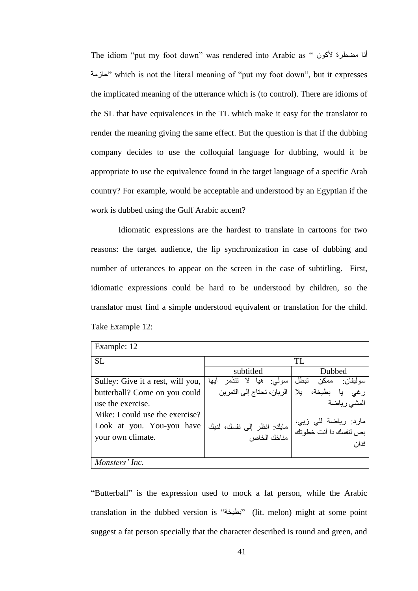The idiom "put my foot down" was rendered into Arabic as " أنا مضطرة لأكون خازمة "which is not the literal meaning of "put my foot down", but it expresses the implicated meaning of the utterance which is (to control). There are idioms of the SL that have equivalences in the TL which make it easy for the translator to render the meaning giving the same effect. But the question is that if the dubbing company decides to use the colloquial language for dubbing, would it be appropriate to use the equivalence found in the target language of a specific Arab country? For example, would be acceptable and understood by an Egyptian if the work is dubbed using the Gulf Arabic accent?

Idiomatic expressions are the hardest to translate in cartoons for two reasons: the target audience, the lip synchronization in case of dubbing and number of utterances to appear on the screen in the case of subtitling. First, idiomatic expressions could be hard to be understood by children, so the translator must find a simple understood equivalent or translation for the child. Take Example 12:

| Example: 12                                                                       |                                          |                                                       |  |  |  |
|-----------------------------------------------------------------------------------|------------------------------------------|-------------------------------------------------------|--|--|--|
| <b>SL</b>                                                                         |                                          | TL                                                    |  |  |  |
|                                                                                   | subtitled                                | Dubbed                                                |  |  |  |
| Sulley: Give it a rest, will you,                                                 | تتذمر ابها<br>$\lambda$<br>هيا<br>سولي:  | تبطل<br>سو لېغان :<br>ممكن                            |  |  |  |
| butterball? Come on you could                                                     | الربان، تحتاج إلى التمرين                | بطيخة،<br>بلا<br>رغى                                  |  |  |  |
| use the exercise.                                                                 |                                          | المشى رياضة                                           |  |  |  |
| Mike: I could use the exercise?<br>Look at you. You-you have<br>your own climate. | مايك: انظر إلى نفسك، لديك<br>مناخك الخاص | مارد: رياضة للي زيي،<br>بص لنفسك دا أنت خطوتك<br>فدان |  |  |  |
| Monsters' Inc.                                                                    |                                          |                                                       |  |  |  |

"Butterball" is the expression used to mock a fat person, while the Arabic translation in the dubbed version is "بلحيخة" (lit. melon) might at some point suggest a fat person specially that the character described is round and green, and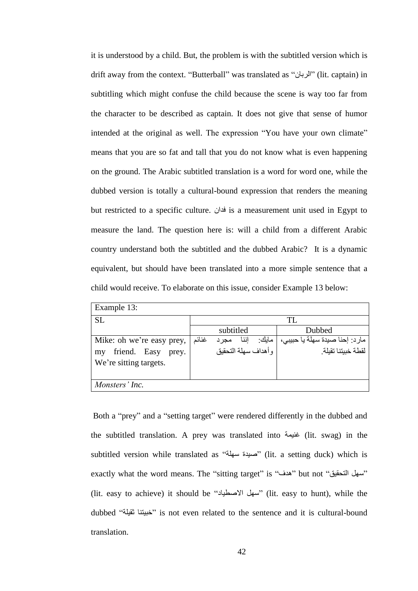it is understood by a child. But, the problem is with the subtitled version which is drift away from the context. "Butterball" was translated as "ْشثبٌا) "lit. captain) in subtitling which might confuse the child because the scene is way too far from the character to be described as captain. It does not give that sense of humor intended at the original as well. The expression "You have your own climate" means that you are so fat and tall that you do not know what is even happening on the ground. The Arabic subtitled translation is a word for word one, while the dubbed version is totally a cultural-bound expression that renders the meaning but restricted to a specific culture. فأنان is a measurement unit used in Egypt to measure the land. The question here is: will a child from a different Arabic country understand both the subtitled and the dubbed Arabic? It is a dynamic equivalent, but should have been translated into a more simple sentence that a child would receive. To elaborate on this issue, consider Example 13 below:

| Example 13:                 |       |           |      |                     |                                |
|-----------------------------|-------|-----------|------|---------------------|--------------------------------|
| <b>SL</b>                   | TL    |           |      |                     |                                |
|                             |       | subtitled |      |                     | Dubbed                         |
| Mike: oh we're easy prey,   | غنائم | مجرد      | إننا | مايك:               | مارد: إحنا صيدة سهلة يا حبيبي، |
| friend. Easy<br>prey.<br>my |       |           |      | وأهداف سهلة التحقبق | لقطة خبيتنا تقيلة              |
| We're sitting targets.      |       |           |      |                     |                                |
|                             |       |           |      |                     |                                |
| Monsters' Inc.              |       |           |      |                     |                                |

Both a "prey" and a "setting target" were rendered differently in the dubbed and the subtitled translation. A prey was translated into خنيمة (lit. swag) in the subtitled version while translated as "حبينة سهلة" (lit. a setting duck) which is exactly what the word means. The "sitting target" is "هدف" but not "مسهل التحقيق" (lit. easy to achieve) it should be "سهل الأصطباد" (lit. easy to hunt), while the dubbed "خِيبتنا ثقيلة" is not even related to the sentence and it is cultural-bound translation.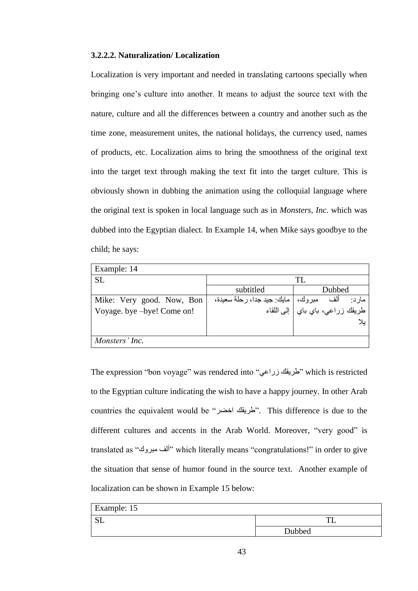#### **3.2.2.2. Naturalization/ Localization**

Localization is very important and needed in translating cartoons specially when bringing one"s culture into another. It means to adjust the source text with the nature, culture and all the differences between a country and another such as the time zone, measurement unites, the national holidays, the currency used, names of products, etc. Localization aims to bring the smoothness of the original text into the target text through making the text fit into the target culture. This is obviously shown in dubbing the animation using the colloquial language where the original text is spoken in local language such as in *Monsters, Inc*. which was dubbed into the Egyptian dialect. In Example 14, when Mike says goodbye to the child; he says:

| Example: 14                |                                     |                                                               |  |  |  |
|----------------------------|-------------------------------------|---------------------------------------------------------------|--|--|--|
| SL.                        |                                     | TI.                                                           |  |  |  |
|                            | subtitled                           | Dubbed                                                        |  |  |  |
| Mike: Very good. Now, Bon  | مبروك،   مايك: جيد جدا، رحلة سعيدة، |                                                               |  |  |  |
| Voyage. bye -bye! Come on! |                                     | مارد: ألف مبروك، مايك: جيد<br>طريقك زراعي، باي باي إلى اللقاء |  |  |  |
|                            |                                     | بلا                                                           |  |  |  |
|                            |                                     |                                                               |  |  |  |
| Monsters' Inc.             |                                     |                                                               |  |  |  |

The expression "bon voyage" was rendered into "طريقك زراعى" which is restricted to the Egyptian culture indicating the wish to have a happy journey. In other Arab countries the equivalent would be "طريقك اخضر". This difference is due to the different cultures and accents in the Arab World. Moreover, "very good" is translated as "نٚجشِ فٌو "which literally means "congratulations!" in order to give the situation that sense of humor found in the source text. Another example of localization can be shown in Example 15 below:

| Example: 15            |        |
|------------------------|--------|
| $C$ <sup>T</sup><br>ഄഺ |        |
|                        | Dubbed |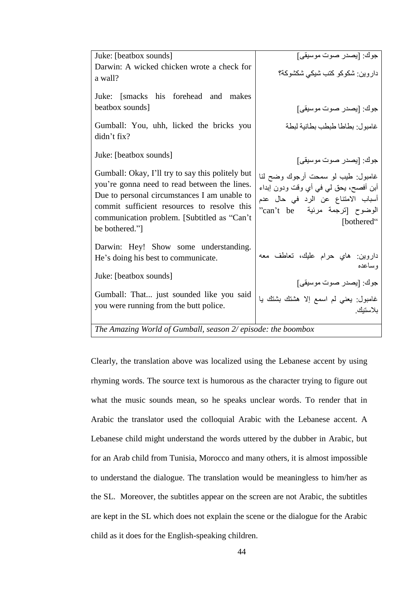| Juke: [beatbox sounds]                                                                                                                                                                                                                                           | جوك: [يصدر صوت موسيقى]                                                                                                                                          |
|------------------------------------------------------------------------------------------------------------------------------------------------------------------------------------------------------------------------------------------------------------------|-----------------------------------------------------------------------------------------------------------------------------------------------------------------|
| Darwin: A wicked chicken wrote a check for<br>a wall?                                                                                                                                                                                                            | داروين: شكوكو كتب شيكي شكشوكة؟                                                                                                                                  |
| Juke: [smacks his forehead and makes<br>beatbox sounds]                                                                                                                                                                                                          | جوك: [يصدر صوت موسيقى]                                                                                                                                          |
| Gumball: You, uhh, licked the bricks you<br>didn't fix?                                                                                                                                                                                                          | غامبول بطاطا طبطب بطانية لبطة                                                                                                                                   |
| Juke: [beatbox sounds]                                                                                                                                                                                                                                           | جوك: [يصدر صوت موسيقى]                                                                                                                                          |
| Gumball: Okay, I'll try to say this politely but<br>you're gonna need to read between the lines.<br>Due to personal circumstances I am unable to<br>commit sufficient resources to resolve this<br>communication problem. [Subtitled as "Can't<br>be bothered."] | غامبول: طيب لو سمحت أرجوك وضح لنا<br>أبن أفصح، يحق لي في أي وقت ودون إبداء<br>أسباب الامتناع عن الرد في حال عدم<br>"الوضوح [ترجمة مرئية can't be"<br>[bothered" |
| Darwin: Hey! Show some understanding.<br>He's doing his best to communicate.                                                                                                                                                                                     | داروين: هاي حرام عليك، تعاطف معه<br>وساعده                                                                                                                      |
| Juke: [beatbox sounds]                                                                                                                                                                                                                                           | جوك: [يصدر صوت موسيقى]                                                                                                                                          |
| Gumball: That just sounded like you said<br>you were running from the butt police.                                                                                                                                                                               | غامبول: يعني لم اسمع إلا هشتك بشتك يا<br>بلاستيك                                                                                                                |
| $T_{he}$ America Would of Cumball, access $2/$ miseder the home on                                                                                                                                                                                               |                                                                                                                                                                 |

*The Amazing World of Gumball, season 2/ episode: the boombox* 

Clearly, the translation above was localized using the Lebanese accent by using rhyming words. The source text is humorous as the character trying to figure out what the music sounds mean, so he speaks unclear words. To render that in Arabic the translator used the colloquial Arabic with the Lebanese accent. A Lebanese child might understand the words uttered by the dubber in Arabic, but for an Arab child from Tunisia, Morocco and many others, it is almost impossible to understand the dialogue. The translation would be meaningless to him/her as the SL. Moreover, the subtitles appear on the screen are not Arabic, the subtitles are kept in the SL which does not explain the scene or the dialogue for the Arabic child as it does for the English-speaking children.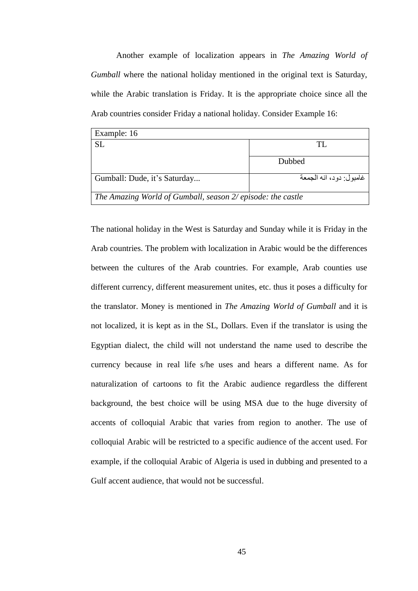Another example of localization appears in *The Amazing World of Gumball* where the national holiday mentioned in the original text is Saturday, while the Arabic translation is Friday. It is the appropriate choice since all the Arab countries consider Friday a national holiday. Consider Example 16:

| Example: 16                                                 |        |  |  |  |
|-------------------------------------------------------------|--------|--|--|--|
| <b>SL</b>                                                   | TI     |  |  |  |
|                                                             | Dubbed |  |  |  |
| غامبو ل: دو د، انه الجمعة<br>Gumball: Dude, it's Saturday   |        |  |  |  |
| The Amazing World of Gumball, season 2/ episode: the castle |        |  |  |  |

The national holiday in the West is Saturday and Sunday while it is Friday in the Arab countries. The problem with localization in Arabic would be the differences between the cultures of the Arab countries. For example, Arab counties use different currency, different measurement unites, etc. thus it poses a difficulty for the translator. Money is mentioned in *The Amazing World of Gumball* and it is not localized, it is kept as in the SL, Dollars. Even if the translator is using the Egyptian dialect, the child will not understand the name used to describe the currency because in real life s/he uses and hears a different name. As for naturalization of cartoons to fit the Arabic audience regardless the different background, the best choice will be using MSA due to the huge diversity of accents of colloquial Arabic that varies from region to another. The use of colloquial Arabic will be restricted to a specific audience of the accent used. For example, if the colloquial Arabic of Algeria is used in dubbing and presented to a Gulf accent audience, that would not be successful.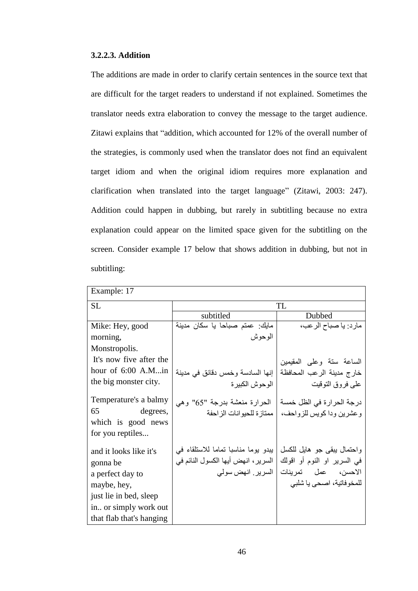#### **3.2.2.3. Addition**

The additions are made in order to clarify certain sentences in the source text that are difficult for the target readers to understand if not explained. Sometimes the translator needs extra elaboration to convey the message to the target audience. Zitawi explains that "addition, which accounted for 12% of the overall number of the strategies, is commonly used when the translator does not find an equivalent target idiom and when the original idiom requires more explanation and clarification when translated into the target language" (Zitawi, 2003: 247). Addition could happen in dubbing, but rarely in subtitling because no extra explanation could appear on the limited space given for the subtitling on the screen. Consider example 17 below that shows addition in dubbing, but not in subtitling:

| Example: 17                                                                                                                                          |                                                                                                |                                                                                                              |  |
|------------------------------------------------------------------------------------------------------------------------------------------------------|------------------------------------------------------------------------------------------------|--------------------------------------------------------------------------------------------------------------|--|
| SL                                                                                                                                                   | TL                                                                                             |                                                                                                              |  |
|                                                                                                                                                      | subtitled                                                                                      | Dubbed                                                                                                       |  |
| Mike: Hey, good                                                                                                                                      | مايك: عمنم صباحا يا سكان مدينة                                                                 | مارد: يا صباح الرعب،                                                                                         |  |
| morning,                                                                                                                                             | الوحوش                                                                                         |                                                                                                              |  |
| Monstropolis.                                                                                                                                        |                                                                                                |                                                                                                              |  |
| It's now five after the                                                                                                                              |                                                                                                | الساعة سنة وعلى المقيمين                                                                                     |  |
| hour of $6:00$ A.Min                                                                                                                                 | إنها السادسة وخمس دقائق في مدينة                                                               | خارج مدينة الرعب المحافظة                                                                                    |  |
| the big monster city.                                                                                                                                | الوحوش الكبيرة                                                                                 | على فروق التوقيت                                                                                             |  |
| Temperature's a balmy<br>65 — 100<br>degrees,<br>which is good news<br>for you reptiles                                                              | الحرارة منعشة بدرجة "65" وهي<br>  ممتاز ة للحيو انات الز احفة                                  | درجة الحرارة في الظل خمسة<br>وعشرين ودا كويس للزواحف،                                                        |  |
| and it looks like it's<br>gonna be<br>a perfect day to<br>maybe, hey,<br>just lie in bed, sleep<br>in or simply work out<br>that flab that's hanging | يبدو يوما مناسبا تماما للاستلقاء في<br>السرير ، انهض أيها الكسول النائم في<br>السرير انهض سولي | واحتمال يبقى جو هايل للكسل<br>في السرير او النوم أو اقولك<br>الاحسن، عمل تمرينات<br>للمخوفاتية، اصحى يا شلبي |  |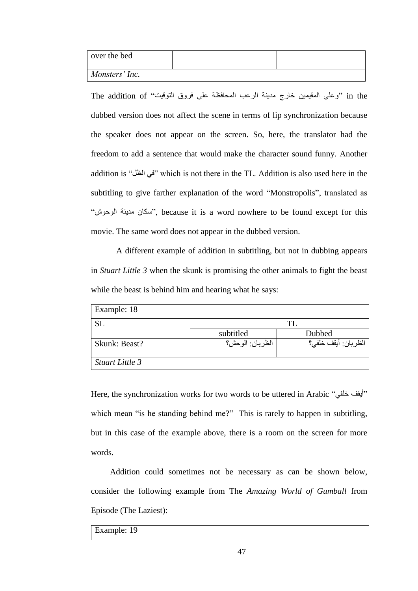| over the bed   |  |
|----------------|--|
| Monsters' Inc. |  |

the addition of "وعلى المقيمين خارج مدينة الرعب المحافظة على فروق التوقيت "The addition of dubbed version does not affect the scene in terms of lip synchronization because the speaker does not appear on the screen. So, here, the translator had the freedom to add a sentence that would make the character sound funny. Another addition is "في الظل" which is not there in the TL. Addition is also used here in the subtitling to give farther explanation of the word "Monstropolis", translated as "سكان مدينة الوحوش", because it is a word nowhere to be found except for this movie. The same word does not appear in the dubbed version.

A different example of addition in subtitling, but not in dubbing appears in *Stuart Little 3* when the skunk is promising the other animals to fight the beast while the beast is behind him and hearing what he says:

| Example: 18     |                 |                     |
|-----------------|-----------------|---------------------|
| <b>SL</b>       |                 | ТI                  |
|                 | subtitled       | Dubbed              |
| Skunk: Beast?   | الظربان: الوحش؟ | الظربان: أيقف خلفي؟ |
| Stuart Little 3 |                 |                     |

Here, the synchronization works for two words to be uttered in Arabic "أيقف خلفي" which mean "is he standing behind me?" This is rarely to happen in subtitling, but in this case of the example above, there is a room on the screen for more words.

Addition could sometimes not be necessary as can be shown below, consider the following example from The *Amazing World of Gumball* from Episode (The Laziest):

Example: 19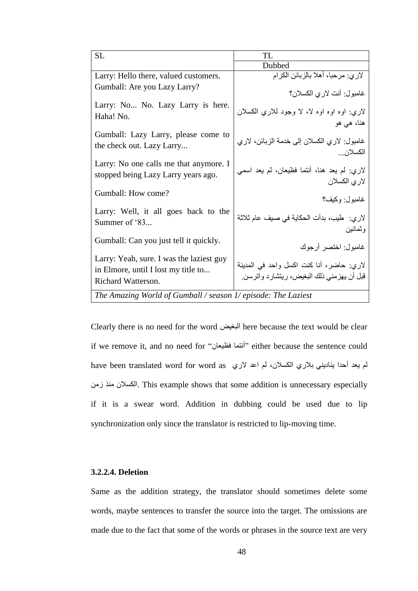| <b>SL</b>                                                                                             | TL                                                                                   |  |  |
|-------------------------------------------------------------------------------------------------------|--------------------------------------------------------------------------------------|--|--|
|                                                                                                       | Dubbed                                                                               |  |  |
| Larry: Hello there, valued customers.                                                                 | لاري: مرحبا، أهلا بالزبائن الكرام                                                    |  |  |
| Gumball: Are you Lazy Larry?                                                                          | غامبول: أنت لاري الكسلان؟                                                            |  |  |
| Larry: No No. Lazy Larry is here.<br>Haha! No.                                                        | لاري: اوه اوه اوه لا، لا وجود للاري الكسلان<br>هنا، هي هو                            |  |  |
| Gumball: Lazy Larry, please come to<br>the check out. Lazy Larry                                      | غامبول: لاري الكسلان إلى خدمة الزبائن، لاري<br>الكسلان                               |  |  |
| Larry: No one calls me that anymore. I<br>stopped being Lazy Larry years ago.                         | لاري: لم يعد هنا، أنتما فظيعان، لم يعد اسمي<br>لاري الكسلان                          |  |  |
| Gumball: How come?                                                                                    | غامبول: وكيف؟                                                                        |  |  |
| Larry: Well, it all goes back to the<br>Summer of '83                                                 | لاري:  طيب، بدأت الحكاية في صيف عام ثلاثة<br>وثمانين                                 |  |  |
| Gumball: Can you just tell it quickly.                                                                | غامبول: اختصر أرجوك                                                                  |  |  |
| Larry: Yeah, sure. I was the laziest guy<br>in Elmore, until I lost my title to<br>Richard Watterson. | لاري: حاضر، أنا كنت اكسل واحد في المدينة<br>قبل أن يهزمني ذلك البغيض، ريتشارد واترسن |  |  |
| The Amazing World of Gumball / season 1/ episode: The Laziest                                         |                                                                                      |  |  |

Clearly there is no need for the word البغيض here because the text would be clear if we remove it, and no need for "أنتما فظيعان" either because the sentence could have been translated word for word as لم يعد أحدا يناديني بلاري الكسلان، لم اعد لاري ِٓص زِٕ ْىسالٌا. This example shows that some addition is unnecessary especially if it is a swear word. Addition in dubbing could be used due to lip synchronization only since the translator is restricted to lip-moving time.

# **3.2.2.4. Deletion**

Same as the addition strategy, the translator should sometimes delete some words, maybe sentences to transfer the source into the target. The omissions are made due to the fact that some of the words or phrases in the source text are very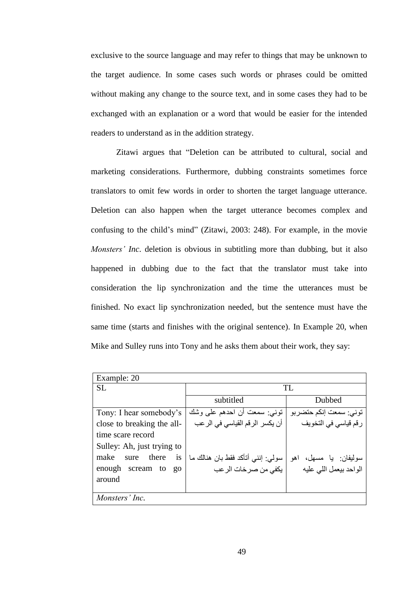exclusive to the source language and may refer to things that may be unknown to the target audience. In some cases such words or phrases could be omitted without making any change to the source text, and in some cases they had to be exchanged with an explanation or a word that would be easier for the intended readers to understand as in the addition strategy.

Zitawi argues that "Deletion can be attributed to cultural, social and marketing considerations. Furthermore, dubbing constraints sometimes force translators to omit few words in order to shorten the target language utterance. Deletion can also happen when the target utterance becomes complex and confusing to the child"s mind" (Zitawi, 2003: 248). For example, in the movie *Monsters' Inc*. deletion is obvious in subtitling more than dubbing, but it also happened in dubbing due to the fact that the translator must take into consideration the lip synchronization and the time the utterances must be finished. No exact lip synchronization needed, but the sentence must have the same time (starts and finishes with the original sentence). In Example 20, when Mike and Sulley runs into Tony and he asks them about their work, they say:

| Example: 20                            |                                   |                         |
|----------------------------------------|-----------------------------------|-------------------------|
| <b>SL</b>                              |                                   | TL                      |
|                                        | subtitled                         | Dubbed                  |
| Tony: I hear somebody's                | توني: سمعت أن احدهم على وشك       | توني: سمعت إنكم حتضربو  |
| close to breaking the all-             | أن يكسر الرقم القياسي في الرعب    | رقم قياسي في التخويف    |
| time scare record                      |                                   |                         |
| Sulley: Ah, just trying to             |                                   |                         |
| make<br>there<br>sure<br>1S            | سولي: إنني أتأكد فقط بان هنالك ما | سوليفان: يا مسهل، اهو   |
| enough scream<br>to<br>$\overline{Q}O$ | يكفي من صرخات الرعب               | الواحد بيعمل اللبي عليه |
| around                                 |                                   |                         |
|                                        |                                   |                         |
| Monsters' Inc.                         |                                   |                         |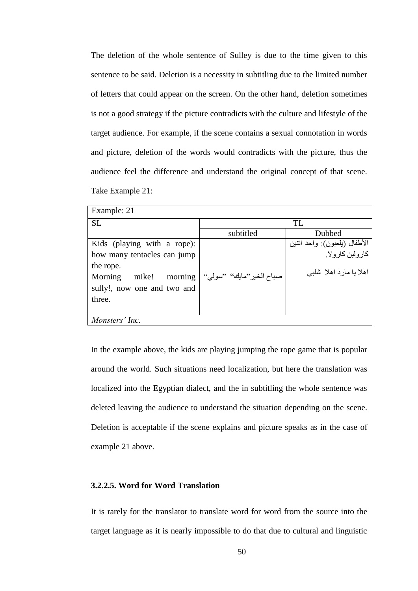The deletion of the whole sentence of Sulley is due to the time given to this sentence to be said. Deletion is a necessity in subtitling due to the limited number of letters that could appear on the screen. On the other hand, deletion sometimes is not a good strategy if the picture contradicts with the culture and lifestyle of the target audience. For example, if the scene contains a sexual connotation in words and picture, deletion of the words would contradicts with the picture, thus the audience feel the difference and understand the original concept of that scene. Take Example 21:

| Example: 21                              |                              |                              |  |  |
|------------------------------------------|------------------------------|------------------------------|--|--|
| <b>SL</b>                                |                              | TL                           |  |  |
|                                          | subtitled                    | Dubbed                       |  |  |
| Kids (playing with a rope):              |                              | الأطفال (بلعبون): واحد انتين |  |  |
| how many tentacles can jump              |                              | کار و لين کار و لا ِ         |  |  |
| the rope.<br>morning<br>mike!<br>Morning | صباح الخير ''مايك'' ''سولي'' | اهلا با مارد اهلا شلببي      |  |  |
| sully!, now one and two and              |                              |                              |  |  |
| three.                                   |                              |                              |  |  |
|                                          |                              |                              |  |  |
| Monsters' Inc.                           |                              |                              |  |  |

In the example above, the kids are playing jumping the rope game that is popular around the world. Such situations need localization, but here the translation was localized into the Egyptian dialect, and the in subtitling the whole sentence was deleted leaving the audience to understand the situation depending on the scene. Deletion is acceptable if the scene explains and picture speaks as in the case of example 21 above.

# **3.2.2.5. Word for Word Translation**

It is rarely for the translator to translate word for word from the source into the target language as it is nearly impossible to do that due to cultural and linguistic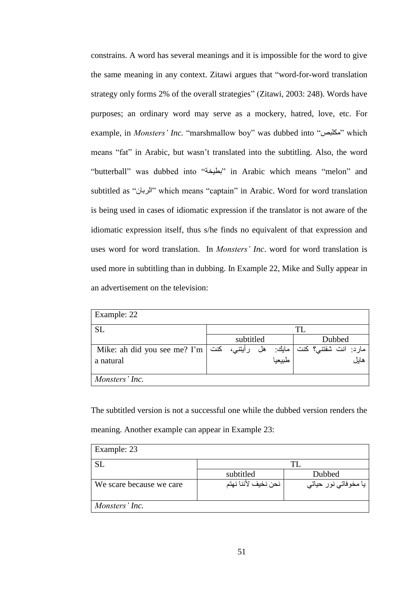constrains. A word has several meanings and it is impossible for the word to give the same meaning in any context. Zitawi argues that "word-for-word translation strategy only forms 2% of the overall strategies" (Zitawi, 2003: 248). Words have purposes; an ordinary word may serve as a mockery, hatred, love, etc. For example, in *Monsters' Inc*. "marshmallow boy" was dubbed into "مكلبص" which means "fat" in Arabic, but wasn"t translated into the subtitling. Also, the word "butterball" was dubbed into "بطيخة" in Arabic which means "melon" and subtitled as "ْشثبٌا "which means "captain" in Arabic. Word for word translation is being used in cases of idiomatic expression if the translator is not aware of the idiomatic expression itself, thus s/he finds no equivalent of that expression and uses word for word translation. In *Monsters' Inc*. word for word translation is used more in subtitling than in dubbing. In Example 22, Mike and Sully appear in an advertisement on the television:

| Example: 22                                                       |  |           |    |        |    |                      |        |      |
|-------------------------------------------------------------------|--|-----------|----|--------|----|----------------------|--------|------|
| <b>SL</b>                                                         |  |           |    |        | TL |                      |        |      |
|                                                                   |  | subtitled |    |        |    |                      | Dubbed |      |
| Mike: ah did you see me? I'm   نفت   Mike: ah did you see me? I'm |  |           | هل | مايك:  |    | مارد: انت شفتنی؟ کنت |        |      |
| a natural                                                         |  |           |    | طبيعيا |    |                      |        | هايل |
|                                                                   |  |           |    |        |    |                      |        |      |
| Monsters' Inc.                                                    |  |           |    |        |    |                      |        |      |

The subtitled version is not a successful one while the dubbed version renders the meaning. Another example can appear in Example 23:

| Example: 23              |                     |                      |
|--------------------------|---------------------|----------------------|
| <b>SL</b>                |                     |                      |
|                          | subtitled           | Dubbed               |
| We scare because we care | نحن نخيف لأننا نهتم | يا مخوفاتي نور حياتي |
| Monsters' Inc.           |                     |                      |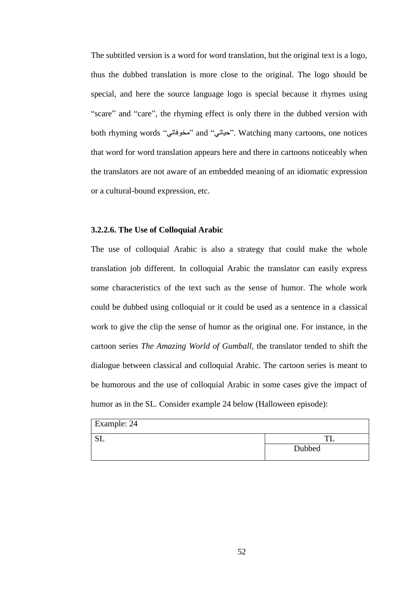The subtitled version is a word for word translation, but the original text is a logo, thus the dubbed translation is more close to the original. The logo should be special, and here the source language logo is special because it rhymes using "scare" and "care", the rhyming effect is only there in the dubbed version with both rhyming words "مخوفاتي" and "بمخوفاتي". Watching many cartoons, one notices that word for word translation appears here and there in cartoons noticeably when the translators are not aware of an embedded meaning of an idiomatic expression or a cultural-bound expression, etc.

### **3.2.2.6. The Use of Colloquial Arabic**

The use of colloquial Arabic is also a strategy that could make the whole translation job different. In colloquial Arabic the translator can easily express some characteristics of the text such as the sense of humor. The whole work could be dubbed using colloquial or it could be used as a sentence in a classical work to give the clip the sense of humor as the original one. For instance, in the cartoon series *The Amazing World of Gumball,* the translator tended to shift the dialogue between classical and colloquial Arabic. The cartoon series is meant to be humorous and the use of colloquial Arabic in some cases give the impact of humor as in the SL. Consider example 24 below (Halloween episode):

| Example: 24 |        |
|-------------|--------|
| ഄഺ          |        |
|             | Dubbed |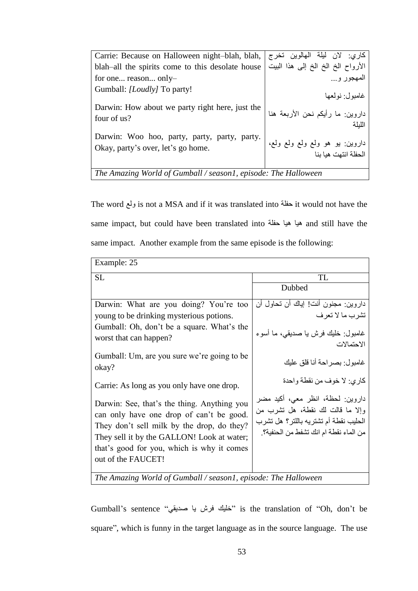| Carrie: Because on Halloween night-blah, blah,                                     | كاري: لان ليلة الهالوين تخرج                                 |  |
|------------------------------------------------------------------------------------|--------------------------------------------------------------|--|
| blah-all the spirits come to this desolate house                                   | الأرواح الخ الخ الخ إلى هذا البيت                            |  |
| for one reason only-                                                               | المهجور و                                                    |  |
| Gumball: [Loudly] To party!                                                        | غامىول· نولعها                                               |  |
| Darwin: How about we party right here, just the<br>four of us?                     | داروين: ما رأيكم نحن الأربعة هنا<br>اللبلة                   |  |
| Darwin: Woo hoo, party, party, party, party.<br>Okay, party's over, let's go home. | ً داروين: يو  هو  ولع  ولع  ولع  ولع،<br>الحظة انتهت هيا بنا |  |
| The Amazing World of Gumball / season1, episode: The Halloween                     |                                                              |  |

The word ولع is not a MSA and if it was translated into خِفلة it would not have the same impact, but could have been translated into هيا هيا حفلة and still have the same impact. Another example from the same episode is the following:

| Example: 25                                                                                                                                                                                                                                             |                                                                                                                                                         |  |  |
|---------------------------------------------------------------------------------------------------------------------------------------------------------------------------------------------------------------------------------------------------------|---------------------------------------------------------------------------------------------------------------------------------------------------------|--|--|
| <b>SL</b>                                                                                                                                                                                                                                               | TL                                                                                                                                                      |  |  |
|                                                                                                                                                                                                                                                         | Dubbed                                                                                                                                                  |  |  |
| Darwin: What are you doing? You're too                                                                                                                                                                                                                  | داروين: مجنون أنت! إياك أن تحاول أن                                                                                                                     |  |  |
| young to be drinking mysterious potions.                                                                                                                                                                                                                | تشرب ما لا تعرف                                                                                                                                         |  |  |
| Gumball: Oh, don't be a square. What's the<br>worst that can happen?                                                                                                                                                                                    | غامبول: خليك فرش يا صديقى، ما أسوء<br>الاحتمالات                                                                                                        |  |  |
| Gumball: Um, are you sure we're going to be<br>okay?                                                                                                                                                                                                    | غامبول: بصراحة أنا قلق عليك                                                                                                                             |  |  |
| Carrie: As long as you only have one drop.                                                                                                                                                                                                              | كاري: لا خوف من نقطة واحدة                                                                                                                              |  |  |
| Darwin: See, that's the thing. Anything you<br>can only have one drop of can't be good.<br>They don't sell milk by the drop, do they?<br>They sell it by the GALLON! Look at water;<br>that's good for you, which is why it comes<br>out of the FAUCET! | داروين: لحظة، انظر معي، أكيد مضر<br>وإلا ما قالت لك نقطة، هل تشرب من<br>الحليب نقطة أم تشتريه باللتر؟ هل تشرب<br>من الماء نقطة ام انك تشفط من الحنفية؟. |  |  |
| The Amazing World of Gumball / season1, episode: The Halloween                                                                                                                                                                                          |                                                                                                                                                         |  |  |

Gumball's sentence "خليك فرش با صديقي" is the translation of "Oh, don't be square", which is funny in the target language as in the source language. The use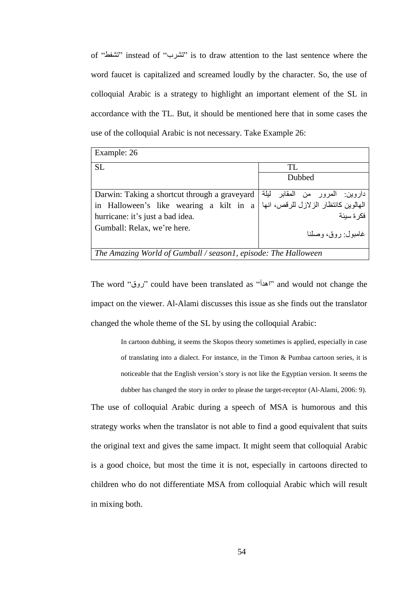of "رطفط "instead of "رطشة "is to draw attention to the last sentence where the word faucet is capitalized and screamed loudly by the character. So, the use of colloquial Arabic is a strategy to highlight an important element of the SL in accordance with the TL. But, it should be mentioned here that in some cases the use of the colloquial Arabic is not necessary. Take Example 26:

| Example: 26                                                    |                                      |  |
|----------------------------------------------------------------|--------------------------------------|--|
| <b>SL</b>                                                      | TL.                                  |  |
|                                                                | Dubbed                               |  |
| Darwin: Taking a shortcut through a graveyard                  | داروين: المرور من المقابر ليلة       |  |
| in Halloween's like wearing a kilt in a                        | الهالوين كانتظار الزلازل للرقص، انها |  |
| hurricane: it's just a bad idea.                               | فكر ة سبئة                           |  |
| Gumball: Relax, we're here.                                    | غامبول: روق، وصلنا                   |  |
| The Amazing World of Gumball / season1, episode: The Halloween |                                      |  |

The word "زوق" could have been translated as "أهدأ" and would not change the impact on the viewer. Al-Alami discusses this issue as she finds out the translator changed the whole theme of the SL by using the colloquial Arabic:

> In cartoon dubbing, it seems the Skopos theory sometimes is applied, especially in case of translating into a dialect. For instance, in the Timon & Pumbaa cartoon series, it is noticeable that the English version"s story is not like the Egyptian version. It seems the dubber has changed the story in order to please the target-receptor (Al-Alami, 2006: 9).

The use of colloquial Arabic during a speech of MSA is humorous and this strategy works when the translator is not able to find a good equivalent that suits the original text and gives the same impact. It might seem that colloquial Arabic is a good choice, but most the time it is not, especially in cartoons directed to children who do not differentiate MSA from colloquial Arabic which will result in mixing both.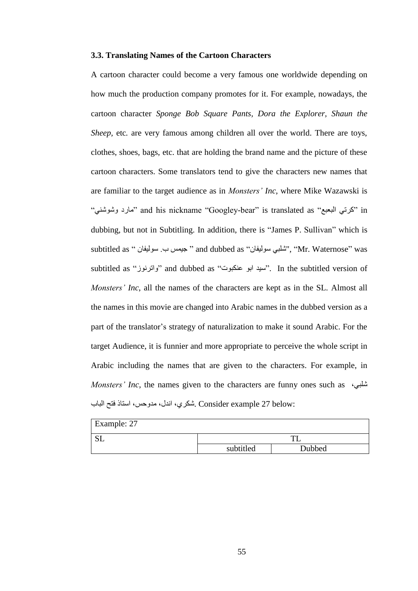#### **3.3. Translating Names of the Cartoon Characters**

A cartoon character could become a very famous one worldwide depending on how much the production company promotes for it. For example, nowadays, the cartoon character *Sponge Bob Square Pants, Dora the Explorer, Shaun the Sheep,* etc*.* are very famous among children all over the world. There are toys, clothes, shoes, bags, etc. that are holding the brand name and the picture of these cartoon characters. Some translators tend to give the characters new names that are familiar to the target audience as in *Monsters' Inc*, where Mike Wazawski is لاتِي البعبعِ " and his nickname "Googley-bear" is translated as "مارد وشوشنب" " dubbing, but not in Subtitling. In addition, there is "James P. Sullivan" which is subtitled as '' جيمس ب. سوليغان '' and dubbed as '' جيمس ب. سوليغان ''' Wr. Waternose'' was subtitled as "واترنوز" and dubbed as "سيد ابو عنكبوت". In the subtitled version of *Monsters' Inc*, all the names of the characters are kept as in the SL. Almost all the names in this movie are changed into Arabic names in the dubbed version as a part of the translator"s strategy of naturalization to make it sound Arabic. For the target Audience, it is funnier and more appropriate to perceive the whole script in Arabic including the names that are given to the characters. For example, in *Monsters' Inc*, the names given to the characters are funny ones such as  $\omega$ شلبي، :Consider example 27 below شكري، اندل، مدوحس، استاذ فتح الباب

| Example: 27 |           |        |  |
|-------------|-----------|--------|--|
| $\alpha$ T  |           |        |  |
|             | subtitled | Dubbed |  |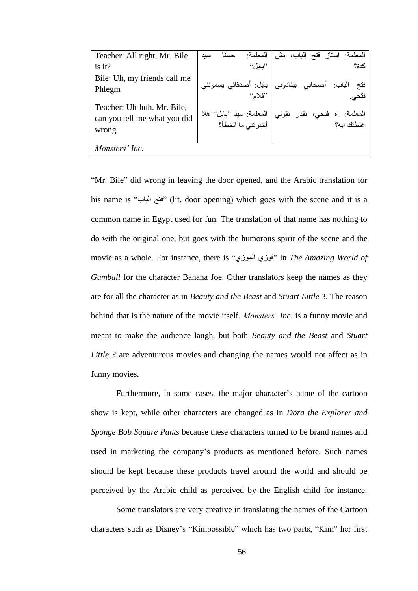| Teacher: All right, Mr. Bile,                              | المعلمة<br>حسنا<br>سيد | المعلَّمة: استاز فتح الباب، مش                                        |
|------------------------------------------------------------|------------------------|-----------------------------------------------------------------------|
| is it?                                                     | $``$ لماما             | کدۂ؟                                                                  |
| Bile: Uh, my friends call me                               |                        |                                                                       |
| Phlegm                                                     |                        | فتح الباب: أصحابي بينادوني  بايل: أصدقائي يسمونني<br>فتحي             |
|                                                            |                        |                                                                       |
| Teacher: Uh-huh. Mr. Bile,<br>can you tell me what you did |                        | المعلمة: اه فتحي، تقدر تقولي  المعلمة: سيد ''بايل'' هلا<br>غلطتك ايه؟ |
| wrong                                                      |                        |                                                                       |
|                                                            |                        |                                                                       |
| Monsters' Inc.                                             |                        |                                                                       |

"Mr. Bile" did wrong in leaving the door opened, and the Arabic translation for his name is "جبةٌا فزخ) "lit. door opening) which goes with the scene and it is a common name in Egypt used for fun. The translation of that name has nothing to do with the original one, but goes with the humorous spirit of the scene and the movie as a whole. For instance, there is "فوزي الموزي" in *The Amazing World of Gumball* for the character Banana Joe. Other translators keep the names as they are for all the character as in *Beauty and the Beast* and *Stuart Little* 3. The reason behind that is the nature of the movie itself. *Monsters' Inc.* is a funny movie and meant to make the audience laugh, but both *Beauty and the Beast* and *Stuart Little 3* are adventurous movies and changing the names would not affect as in funny movies.

Furthermore, in some cases, the major character's name of the cartoon show is kept, while other characters are changed as in *Dora the Explorer and Sponge Bob Square Pants* because these characters turned to be brand names and used in marketing the company"s products as mentioned before. Such names should be kept because these products travel around the world and should be perceived by the Arabic child as perceived by the English child for instance.

Some translators are very creative in translating the names of the Cartoon characters such as Disney"s "Kimpossible" which has two parts, "Kim" her first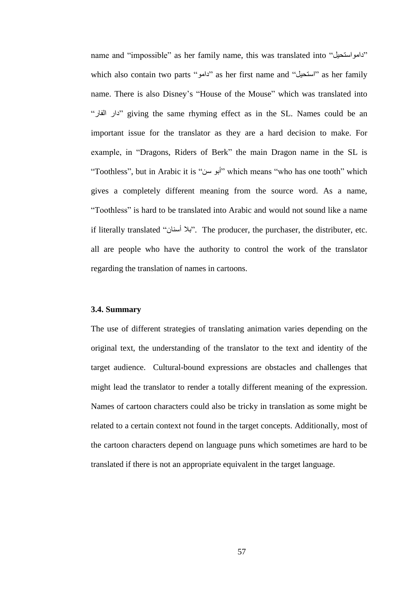name and "impossible" as her family name, this was translated into "دامو استحيل" which also contain two parts "استحيل" as her first name and "أستحيل" as her family name. There is also Disney's "House of the Mouse" which was translated into "فبسٌا داس "giving the same rhyming effect as in the SL. Names could be an important issue for the translator as they are a hard decision to make. For example, in "Dragons, Riders of Berk" the main Dragon name in the SL is "Toothless", but in Arabic it is "أبو سن" which means "who has one tooth" which gives a completely different meaning from the source word. As a name, "Toothless" is hard to be translated into Arabic and would not sound like a name if literally translated "ْبٕوس ثال". The producer, the purchaser, the distributer, etc. all are people who have the authority to control the work of the translator regarding the translation of names in cartoons.

#### **3.4. Summary**

The use of different strategies of translating animation varies depending on the original text, the understanding of the translator to the text and identity of the target audience. Cultural-bound expressions are obstacles and challenges that might lead the translator to render a totally different meaning of the expression. Names of cartoon characters could also be tricky in translation as some might be related to a certain context not found in the target concepts. Additionally, most of the cartoon characters depend on language puns which sometimes are hard to be translated if there is not an appropriate equivalent in the target language.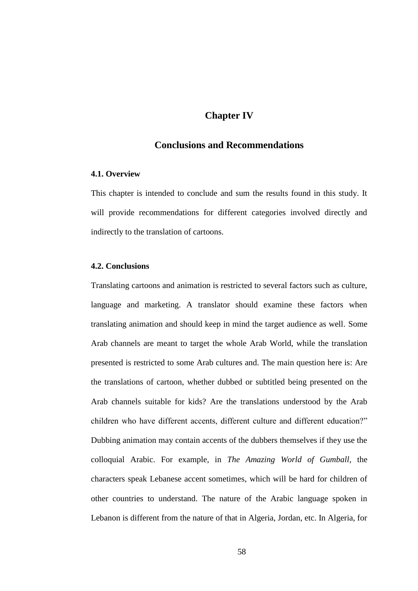# **Chapter IV**

# **Conclusions and Recommendations**

# **4.1. Overview**

This chapter is intended to conclude and sum the results found in this study. It will provide recommendations for different categories involved directly and indirectly to the translation of cartoons.

#### **4.2. Conclusions**

Translating cartoons and animation is restricted to several factors such as culture, language and marketing. A translator should examine these factors when translating animation and should keep in mind the target audience as well. Some Arab channels are meant to target the whole Arab World, while the translation presented is restricted to some Arab cultures and. The main question here is: Are the translations of cartoon, whether dubbed or subtitled being presented on the Arab channels suitable for kids? Are the translations understood by the Arab children who have different accents, different culture and different education?" Dubbing animation may contain accents of the dubbers themselves if they use the colloquial Arabic. For example, in *The Amazing World of Gumball*, the characters speak Lebanese accent sometimes, which will be hard for children of other countries to understand. The nature of the Arabic language spoken in Lebanon is different from the nature of that in Algeria, Jordan, etc. In Algeria, for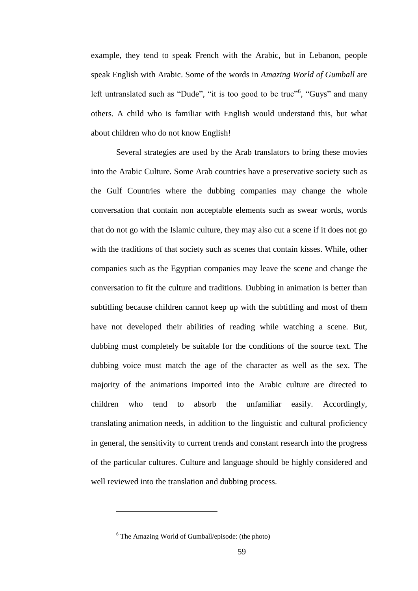example, they tend to speak French with the Arabic, but in Lebanon, people speak English with Arabic. Some of the words in *Amazing World of Gumball* are left untranslated such as "Dude", "it is too good to be true"<sup>6</sup>, "Guys" and many others. A child who is familiar with English would understand this, but what about children who do not know English!

Several strategies are used by the Arab translators to bring these movies into the Arabic Culture. Some Arab countries have a preservative society such as the Gulf Countries where the dubbing companies may change the whole conversation that contain non acceptable elements such as swear words, words that do not go with the Islamic culture, they may also cut a scene if it does not go with the traditions of that society such as scenes that contain kisses. While, other companies such as the Egyptian companies may leave the scene and change the conversation to fit the culture and traditions. Dubbing in animation is better than subtitling because children cannot keep up with the subtitling and most of them have not developed their abilities of reading while watching a scene. But, dubbing must completely be suitable for the conditions of the source text. The dubbing voice must match the age of the character as well as the sex. The majority of the animations imported into the Arabic culture are directed to children who tend to absorb the unfamiliar easily. Accordingly, translating animation needs, in addition to the linguistic and cultural proficiency in general, the sensitivity to current trends and constant research into the progress of the particular cultures. Culture and language should be highly considered and well reviewed into the translation and dubbing process.

 $\overline{a}$ 

 $6$  The Amazing World of Gumball/episode: (the photo)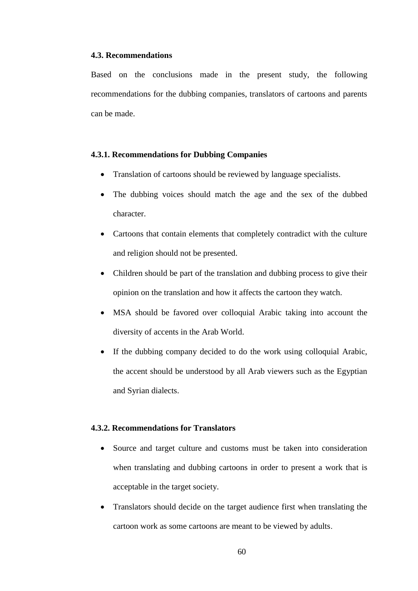#### **4.3. Recommendations**

Based on the conclusions made in the present study, the following recommendations for the dubbing companies, translators of cartoons and parents can be made.

### **4.3.1. Recommendations for Dubbing Companies**

- Translation of cartoons should be reviewed by language specialists.
- The dubbing voices should match the age and the sex of the dubbed character.
- Cartoons that contain elements that completely contradict with the culture and religion should not be presented.
- Children should be part of the translation and dubbing process to give their opinion on the translation and how it affects the cartoon they watch.
- MSA should be favored over colloquial Arabic taking into account the diversity of accents in the Arab World.
- If the dubbing company decided to do the work using colloquial Arabic, the accent should be understood by all Arab viewers such as the Egyptian and Syrian dialects.

# **4.3.2. Recommendations for Translators**

- Source and target culture and customs must be taken into consideration when translating and dubbing cartoons in order to present a work that is acceptable in the target society.
- Translators should decide on the target audience first when translating the cartoon work as some cartoons are meant to be viewed by adults.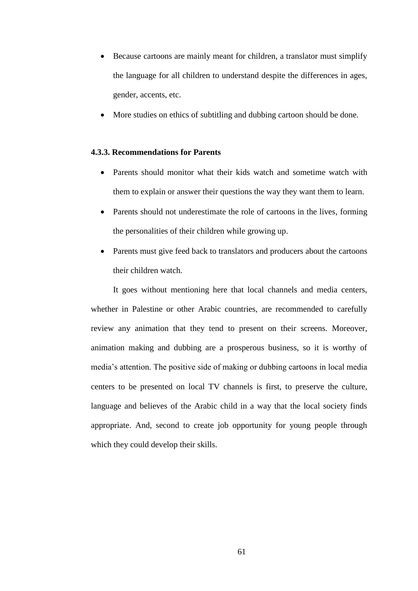- Because cartoons are mainly meant for children, a translator must simplify the language for all children to understand despite the differences in ages, gender, accents, etc.
- More studies on ethics of subtitling and dubbing cartoon should be done.

# **4.3.3. Recommendations for Parents**

- Parents should monitor what their kids watch and sometime watch with them to explain or answer their questions the way they want them to learn.
- Parents should not underestimate the role of cartoons in the lives, forming the personalities of their children while growing up.
- Parents must give feed back to translators and producers about the cartoons their children watch.

It goes without mentioning here that local channels and media centers, whether in Palestine or other Arabic countries, are recommended to carefully review any animation that they tend to present on their screens. Moreover, animation making and dubbing are a prosperous business, so it is worthy of media"s attention. The positive side of making or dubbing cartoons in local media centers to be presented on local TV channels is first, to preserve the culture, language and believes of the Arabic child in a way that the local society finds appropriate. And, second to create job opportunity for young people through which they could develop their skills.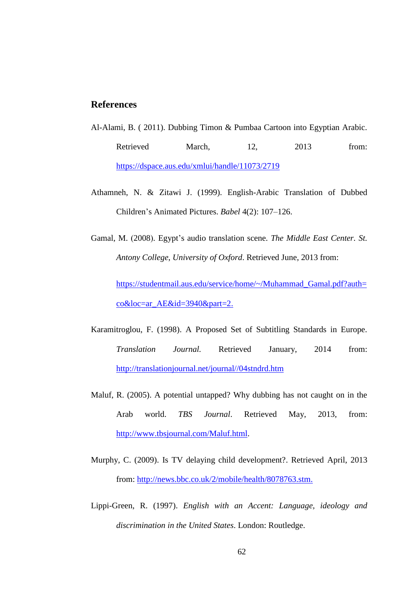# **References**

- Al-Alami, B. ( 2011). Dubbing Timon & Pumbaa Cartoon into Egyptian Arabic*.* Retrieved March, 12, 2013 from: <https://dspace.aus.edu/xmlui/handle/11073/2719>
- Athamneh, N. & Zitawi J. (1999). English-Arabic Translation of Dubbed Children"s Animated Pictures. *Babel* 4(2): 107–126.
- Gamal, M. (2008). Egypt's audio translation scene. *The Middle East Center. St. Antony College*, *University of Oxford*. Retrieved June, 2013 from:

[https://studentmail.aus.edu/service/home/~/Muhammad\\_Gamal.pdf?auth=](https://studentmail.aus.edu/service/home/~/Muhammad_Gamal.pdf?auth=co&loc=ar_AE&id=3940&part=2) [co&loc=ar\\_AE&id=3940&part=2.](https://studentmail.aus.edu/service/home/~/Muhammad_Gamal.pdf?auth=co&loc=ar_AE&id=3940&part=2)

- Karamitroglou, F. (1998). A Proposed Set of Subtitling Standards in Europe. *Translation Journal.* Retrieved January, 2014 from: [http://translationjournal.net/journal//04stndrd.htm](http://translationjournal.net/journal/04stndrd.htm)
- Maluf, R. (2005). A potential untapped? Why dubbing has not caught on in the Arab world. *TBS Journal*. Retrieved May, 2013, from: [http://www.tbsjournal.com/Maluf.html.](http://www.tbsjournal.com/Maluf.html)
- Murphy, C. (2009). Is TV delaying child development?. Retrieved April, 2013 from: [http://news.bbc.co.uk/2/mobile/health/8078763.stm.](http://news.bbc.co.uk/2/mobile/health/8078763.stm)
- Lippi-Green, R. (1997). *English with an Accent: Language, ideology and discrimination in the United States*. London: Routledge.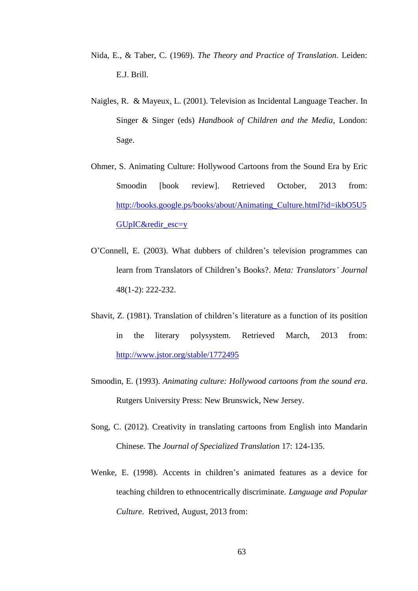- Nida, E., & Taber, C. (1969). *The Theory and Practice of Translation*. Leiden: E.J. Brill.
- Naigles, R. & Mayeux, L. (2001). Television as Incidental Language Teacher. In Singer & Singer (eds) *Handbook of Children and the Media*, London: Sage.
- Ohmer, S. Animating Culture: Hollywood Cartoons from the Sound Era by Eric Smoodin [book review]. Retrieved October, 2013 from: [http://books.google.ps/books/about/Animating\\_Culture.html?id=ikbO5U5](http://books.google.ps/books/about/Animating_Culture.html?id=ikbO5U5GUpIC&redir_esc=y) [GUpIC&redir\\_esc=y](http://books.google.ps/books/about/Animating_Culture.html?id=ikbO5U5GUpIC&redir_esc=y)
- O"Connell, E. (2003). What dubbers of children"s television programmes can learn from Translators of Children"s Books?. *Meta: Translators' Journal* 48(1-2): 222-232.
- Shavit, Z. (1981). Translation of children"s literature as a function of its position in the literary polysystem. Retrieved March, 2013 from: <http://www.jstor.org/stable/1772495>
- Smoodin, E. (1993). *Animating culture: Hollywood cartoons from the sound era*. Rutgers University Press: New Brunswick, New Jersey.
- Song, C. (2012). Creativity in translating cartoons from English into Mandarin Chinese. The *Journal of Specialized Translation* 17: 124-135.
- Wenke, E. (1998). Accents in children"s animated features as a device for teaching children to ethnocentrically discriminate. *Language and Popular Culture*. Retrived, August, 2013 from: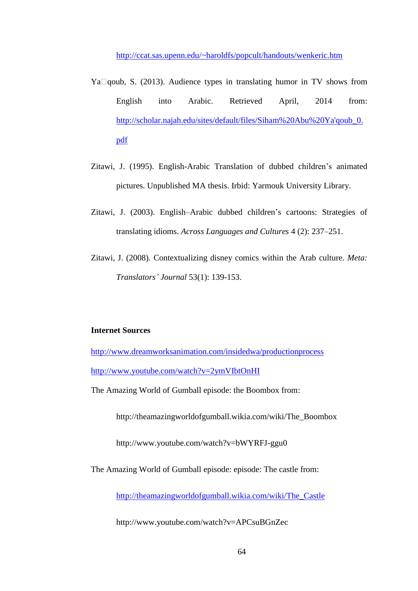<http://ccat.sas.upenn.edu/~haroldfs/popcult/handouts/wenkeric.htm>

- Ya $\Box$ qoub, S. (2013). Audience types in translating humor in TV shows from English into Arabic. Retrieved April, 2014 from: [http://scholar.najah.edu/sites/default/files/Siham%20Abu%20Ya'qoub\\_0.](http://scholar.najah.edu/sites/default/files/Siham%20Abu%20Ya) [pdf](http://scholar.najah.edu/sites/default/files/Siham%20Abu%20Ya)
- Zitawi, J. (1995). English-Arabic Translation of dubbed children"s animated pictures. Unpublished MA thesis. Irbid: Yarmouk University Library.
- Zitawi, J. (2003). English–Arabic dubbed children"s cartoons: Strategies of translating idioms. *Across Languages and Cultures* 4 (2): 237–251.
- Zitawi, J. (2008). Contextualizing disney comics within the Arab culture. *Meta: Translators' Journal* 53(1): 139-153.

## **Internet Sources**

<http://www.dreamworksanimation.com/insidedwa/productionprocess> <http://www.youtube.com/watch?v=2ymVIbtOnHI>

The Amazing World of Gumball episode: the Boombox from:

http://theamazingworldofgumball.wikia.com/wiki/The\_Boombox

http://www.youtube.com/watch?v=bWYRFJ-ggu0

The Amazing World of Gumball episode: episode: The castle from:

[http://theamazingworldofgumball.wikia.com/wiki/The\\_Castle](http://theamazingworldofgumball.wikia.com/wiki/The_Castle)

http://www.youtube.com/watch?v=APCsuBGnZec